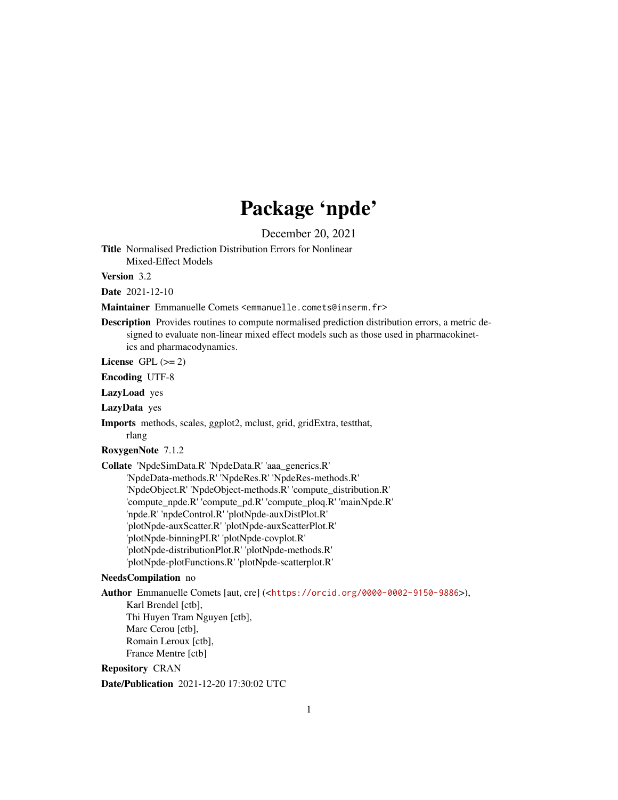# Package 'npde'

December 20, 2021

<span id="page-0-0"></span>Title Normalised Prediction Distribution Errors for Nonlinear Mixed-Effect Models

Version 3.2

Date 2021-12-10

Maintainer Emmanuelle Comets <emmanuelle.comets@inserm.fr>

Description Provides routines to compute normalised prediction distribution errors, a metric designed to evaluate non-linear mixed effect models such as those used in pharmacokinetics and pharmacodynamics.

License GPL  $(>= 2)$ 

Encoding UTF-8

LazyLoad yes

LazyData yes

Imports methods, scales, ggplot2, mclust, grid, gridExtra, testthat, rlang

RoxygenNote 7.1.2

Collate 'NpdeSimData.R' 'NpdeData.R' 'aaa\_generics.R' 'NpdeData-methods.R' 'NpdeRes.R' 'NpdeRes-methods.R' 'NpdeObject.R' 'NpdeObject-methods.R' 'compute\_distribution.R' 'compute\_npde.R' 'compute\_pd.R' 'compute\_ploq.R' 'mainNpde.R' 'npde.R' 'npdeControl.R' 'plotNpde-auxDistPlot.R' 'plotNpde-auxScatter.R' 'plotNpde-auxScatterPlot.R' 'plotNpde-binningPI.R' 'plotNpde-covplot.R' 'plotNpde-distributionPlot.R' 'plotNpde-methods.R' 'plotNpde-plotFunctions.R' 'plotNpde-scatterplot.R'

## NeedsCompilation no

Author Emmanuelle Comets [aut, cre] (<<https://orcid.org/0000-0002-9150-9886>>), Karl Brendel [ctb], Thi Huyen Tram Nguyen [ctb], Marc Cerou [ctb], Romain Leroux [ctb], France Mentre [ctb] Repository CRAN

Date/Publication 2021-12-20 17:30:02 UTC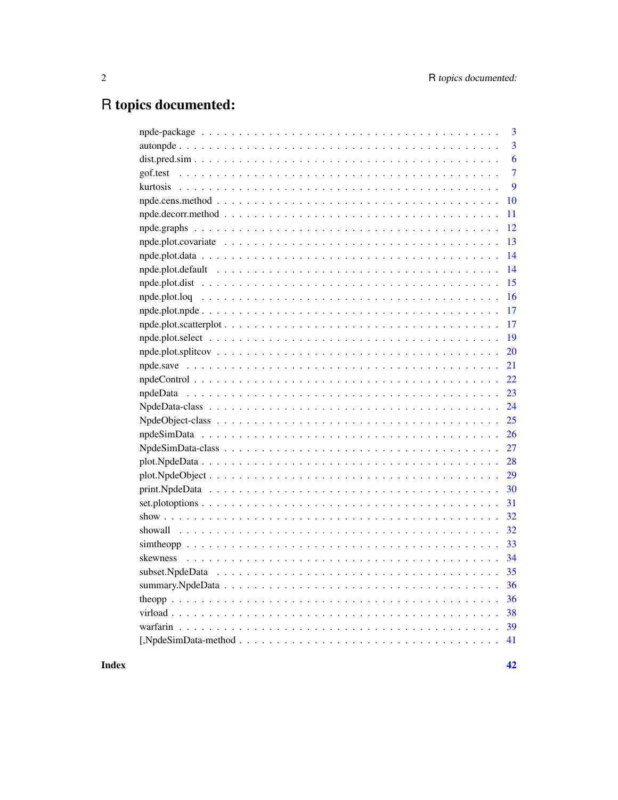# R topics documented:

|          | $\overline{3}$ |
|----------|----------------|
|          | $\overline{3}$ |
|          | 6              |
| gof.test | $\overline{7}$ |
|          | 9              |
|          | 10             |
|          | 11             |
|          | 12             |
|          | 13             |
|          | 14             |
|          | 14             |
|          | 15             |
|          | 16             |
|          | 17             |
|          | 17             |
|          | 19             |
|          | 20             |
|          | 21             |
|          | 22             |
|          | 23             |
|          | 24             |
|          | 25             |
|          | 26             |
|          | 27             |
|          | 28             |
|          | 29             |
|          | 30             |
|          | 31             |
|          | 32             |
|          | 32             |
|          | 33             |
|          | 34             |
|          | 35             |
|          | 36             |
|          | 36             |
|          | 38             |
|          | 39             |
|          | 41             |
|          |                |

Index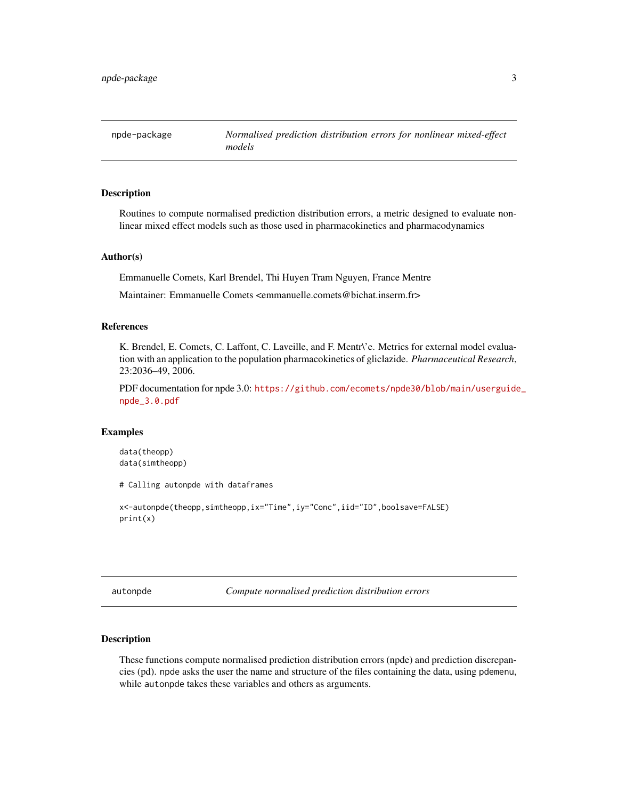<span id="page-2-0"></span>npde-package *Normalised prediction distribution errors for nonlinear mixed-effect models*

## Description

Routines to compute normalised prediction distribution errors, a metric designed to evaluate nonlinear mixed effect models such as those used in pharmacokinetics and pharmacodynamics

#### Author(s)

Emmanuelle Comets, Karl Brendel, Thi Huyen Tram Nguyen, France Mentre

Maintainer: Emmanuelle Comets <emmanuelle.comets@bichat.inserm.fr>

#### References

K. Brendel, E. Comets, C. Laffont, C. Laveille, and F. Mentr\'e. Metrics for external model evaluation with an application to the population pharmacokinetics of gliclazide. *Pharmaceutical Research*, 23:2036–49, 2006.

PDF documentation for npde 3.0: [https://github.com/ecomets/npde30/blob/main/userguide](https://github.com/ecomets/npde30/blob/main/userguide_npde_3.0.pdf)\_ [npde\\_3.0.pdf](https://github.com/ecomets/npde30/blob/main/userguide_npde_3.0.pdf)

## Examples

data(theopp) data(simtheopp)

# Calling autonpde with dataframes

```
x<-autonpde(theopp,simtheopp,ix="Time",iy="Conc",iid="ID",boolsave=FALSE)
print(x)
```
<span id="page-2-2"></span>autonpde *Compute normalised prediction distribution errors*

#### <span id="page-2-1"></span>Description

These functions compute normalised prediction distribution errors (npde) and prediction discrepancies (pd). npde asks the user the name and structure of the files containing the data, using pdemenu, while autonpde takes these variables and others as arguments.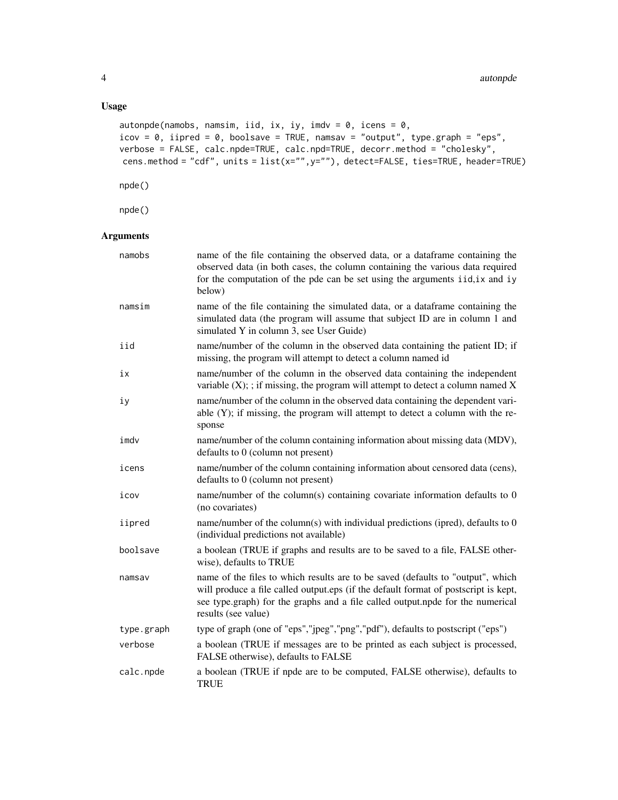## Usage

```
autonpde(namobs, namsim, iid, ix, iy, imdv = 0, icens = 0,
icov = 0, iipred = 0, boolsave = TRUE, namsav = "output", type.graph = "eps",verbose = FALSE, calc.npde=TRUE, calc.npd=TRUE, decorr.method = "cholesky",
cens.method = "cdf", units = list(x="",y=""), detect=FALSE, ties=TRUE, header=TRUE)
```
npde()

npde()

## Arguments

| namobs     | name of the file containing the observed data, or a dataframe containing the<br>observed data (in both cases, the column containing the various data required<br>for the computation of the pde can be set using the arguments iid, ix and iy<br>below)                         |
|------------|---------------------------------------------------------------------------------------------------------------------------------------------------------------------------------------------------------------------------------------------------------------------------------|
| namsim     | name of the file containing the simulated data, or a dataframe containing the<br>simulated data (the program will assume that subject ID are in column 1 and<br>simulated Y in column 3, see User Guide)                                                                        |
| iid        | name/number of the column in the observed data containing the patient ID; if<br>missing, the program will attempt to detect a column named id                                                                                                                                   |
| iх         | name/number of the column in the observed data containing the independent<br>variable $(X)$ ; ; if missing, the program will attempt to detect a column named X                                                                                                                 |
| iу         | name/number of the column in the observed data containing the dependent vari-<br>able (Y); if missing, the program will attempt to detect a column with the re-<br>sponse                                                                                                       |
| imdv       | name/number of the column containing information about missing data (MDV),<br>defaults to 0 (column not present)                                                                                                                                                                |
| icens      | name/number of the column containing information about censored data (cens),<br>defaults to 0 (column not present)                                                                                                                                                              |
| icov       | name/number of the column(s) containing covariate information defaults to 0<br>(no covariates)                                                                                                                                                                                  |
| iipred     | name/number of the column(s) with individual predictions (ipred), defaults to 0<br>(individual predictions not available)                                                                                                                                                       |
| boolsave   | a boolean (TRUE if graphs and results are to be saved to a file, FALSE other-<br>wise), defaults to TRUE                                                                                                                                                                        |
| namsav     | name of the files to which results are to be saved (defaults to "output", which<br>will produce a file called output.eps (if the default format of postscript is kept,<br>see type.graph) for the graphs and a file called output.npde for the numerical<br>results (see value) |
| type.graph | type of graph (one of "eps","jpeg","png","pdf"), defaults to postscript ("eps")                                                                                                                                                                                                 |
| verbose    | a boolean (TRUE if messages are to be printed as each subject is processed,<br>FALSE otherwise), defaults to FALSE                                                                                                                                                              |
| calc.npde  | a boolean (TRUE if npde are to be computed, FALSE otherwise), defaults to<br><b>TRUE</b>                                                                                                                                                                                        |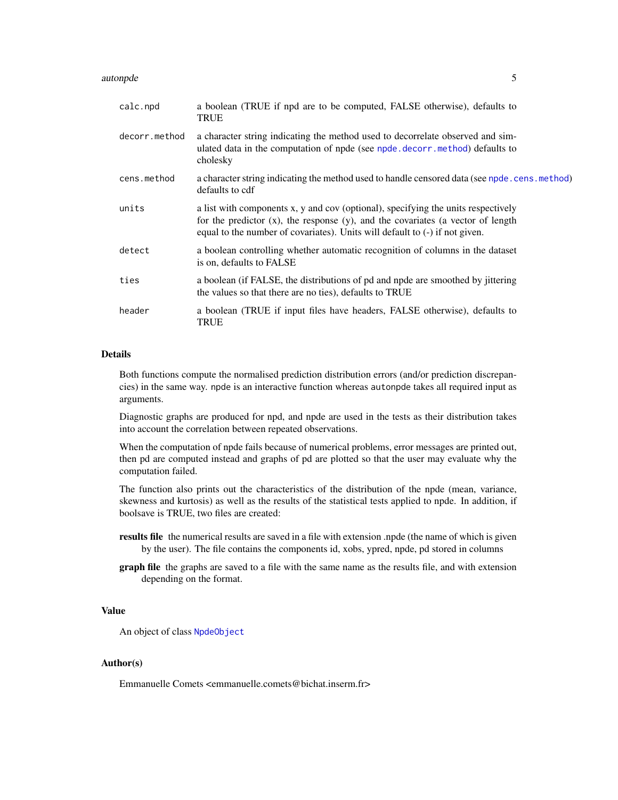#### <span id="page-4-0"></span>autonpde 50 million of the state of the state of the state of the state of the state of the state of the state of the state of the state of the state of the state of the state of the state of the state of the state of the

| calc.npd      | a boolean (TRUE if npd are to be computed, FALSE otherwise), defaults to<br>TRUE                                                                                                                                                                          |
|---------------|-----------------------------------------------------------------------------------------------------------------------------------------------------------------------------------------------------------------------------------------------------------|
| decorr.method | a character string indicating the method used to decorrelate observed and sim-<br>ulated data in the computation of npde (see npde.decorr.method) defaults to<br>cholesky                                                                                 |
| cens.method   | a character string indicating the method used to handle censored data (see npde.cens.method)<br>defaults to cdf                                                                                                                                           |
| units         | a list with components x, y and cov (optional), specifying the units respectively<br>for the predictor $(x)$ , the response $(y)$ , and the covariates (a vector of length<br>equal to the number of covariates). Units will default to (-) if not given. |
| detect        | a boolean controlling whether automatic recognition of columns in the dataset<br>is on, defaults to FALSE                                                                                                                                                 |
| ties          | a boolean (if FALSE, the distributions of pd and npde are smoothed by jittering<br>the values so that there are no ties), defaults to TRUE                                                                                                                |
| header        | a boolean (TRUE if input files have headers, FALSE otherwise), defaults to<br>TRUE                                                                                                                                                                        |

#### Details

Both functions compute the normalised prediction distribution errors (and/or prediction discrepancies) in the same way. npde is an interactive function whereas autonpde takes all required input as arguments.

Diagnostic graphs are produced for npd, and npde are used in the tests as their distribution takes into account the correlation between repeated observations.

When the computation of npde fails because of numerical problems, error messages are printed out, then pd are computed instead and graphs of pd are plotted so that the user may evaluate why the computation failed.

The function also prints out the characteristics of the distribution of the npde (mean, variance, skewness and kurtosis) as well as the results of the statistical tests applied to npde. In addition, if boolsave is TRUE, two files are created:

- results file the numerical results are saved in a file with extension .npde (the name of which is given by the user). The file contains the components id, xobs, ypred, npde, pd stored in columns
- graph file the graphs are saved to a file with the same name as the results file, and with extension depending on the format.

## Value

An object of class [NpdeObject](#page-24-1)

#### Author(s)

Emmanuelle Comets <emmanuelle.comets@bichat.inserm.fr>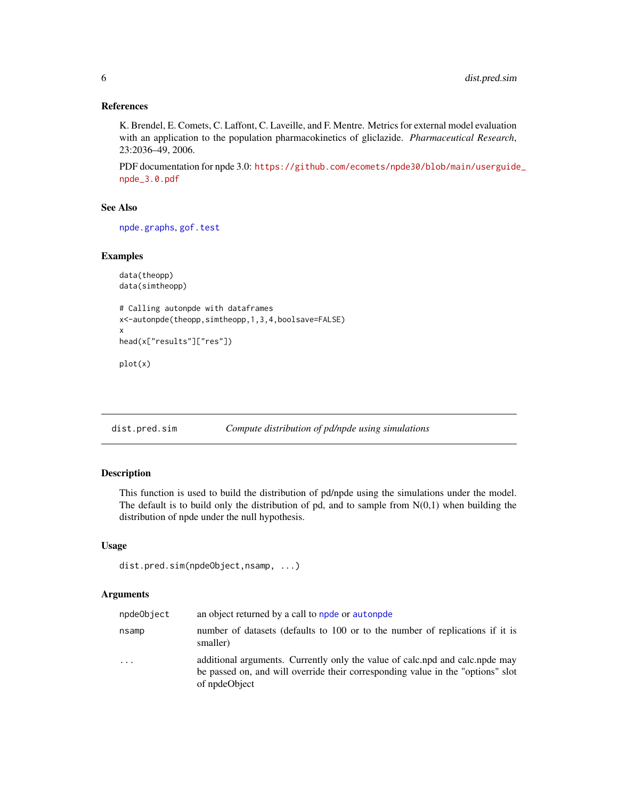## <span id="page-5-0"></span>References

K. Brendel, E. Comets, C. Laffont, C. Laveille, and F. Mentre. Metrics for external model evaluation with an application to the population pharmacokinetics of gliclazide. *Pharmaceutical Research*, 23:2036–49, 2006.

PDF documentation for npde 3.0: [https://github.com/ecomets/npde30/blob/main/userguide](https://github.com/ecomets/npde30/blob/main/userguide_npde_3.0.pdf)\_ [npde\\_3.0.pdf](https://github.com/ecomets/npde30/blob/main/userguide_npde_3.0.pdf)

#### See Also

[npde.graphs](#page-11-1), [gof.test](#page-6-1)

## Examples

```
data(theopp)
data(simtheopp)
# Calling autonpde with dataframes
x<-autonpde(theopp,simtheopp,1,3,4,boolsave=FALSE)
x
head(x["results"]["res"])
plot(x)
```
dist.pred.sim *Compute distribution of pd/npde using simulations*

## Description

This function is used to build the distribution of pd/npde using the simulations under the model. The default is to build only the distribution of pd, and to sample from  $N(0,1)$  when building the distribution of npde under the null hypothesis.

### Usage

```
dist.pred.sim(npdeObject,nsamp, ...)
```
## Arguments

| npdeObject | an object returned by a call to npde or autonpde                                                                                                                                 |
|------------|----------------------------------------------------------------------------------------------------------------------------------------------------------------------------------|
| nsamp      | number of datasets (defaults to 100 or to the number of replications if it is<br>smaller)                                                                                        |
| $\cdots$   | additional arguments. Currently only the value of calc.npd and calc.npde may<br>be passed on, and will override their corresponding value in the "options" slot<br>of npdeObject |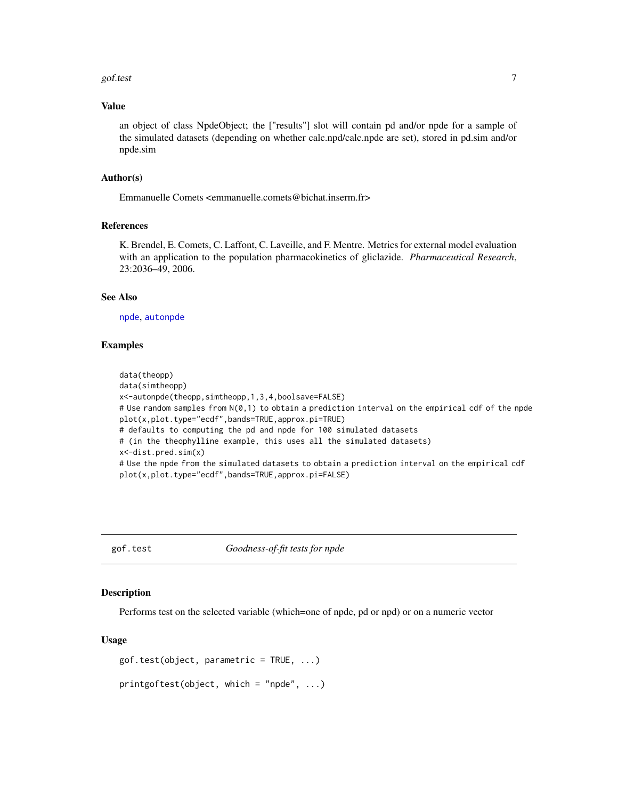#### <span id="page-6-0"></span>gof.test 7 and 7 and 7 and 7 and 7 and 7 and 7 and 7 and 7 and 7 and 7 and 7 and 7 and 7 and 7 and 7 and 7 and 7 and 7 and 7 and 7 and 7 and 7 and 7 and 7 and 7 and 7 and 7 and 7 and 7 and 7 and 7 and 7 and 7 and 7 and 7 a

## Value

an object of class NpdeObject; the ["results"] slot will contain pd and/or npde for a sample of the simulated datasets (depending on whether calc.npd/calc.npde are set), stored in pd.sim and/or npde.sim

## Author(s)

Emmanuelle Comets <emmanuelle.comets@bichat.inserm.fr>

## References

K. Brendel, E. Comets, C. Laffont, C. Laveille, and F. Mentre. Metrics for external model evaluation with an application to the population pharmacokinetics of gliclazide. *Pharmaceutical Research*, 23:2036–49, 2006.

## See Also

[npde](#page-2-1), [autonpde](#page-2-2)

#### Examples

```
data(theopp)
data(simtheopp)
x<-autonpde(theopp,simtheopp,1,3,4,boolsave=FALSE)
# Use random samples from N(0,1) to obtain a prediction interval on the empirical cdf of the npde
plot(x,plot.type="ecdf",bands=TRUE,approx.pi=TRUE)
# defaults to computing the pd and npde for 100 simulated datasets
# (in the theophylline example, this uses all the simulated datasets)
x<-dist.pred.sim(x)
# Use the npde from the simulated datasets to obtain a prediction interval on the empirical cdf
plot(x,plot.type="ecdf",bands=TRUE,approx.pi=FALSE)
```
<span id="page-6-1"></span>gof.test *Goodness-of-fit tests for npde*

#### Description

Performs test on the selected variable (which=one of npde, pd or npd) or on a numeric vector

#### Usage

```
gof.test(object, parametric = TRUE, ...)printgoftest(object, which = "npde", ...)
```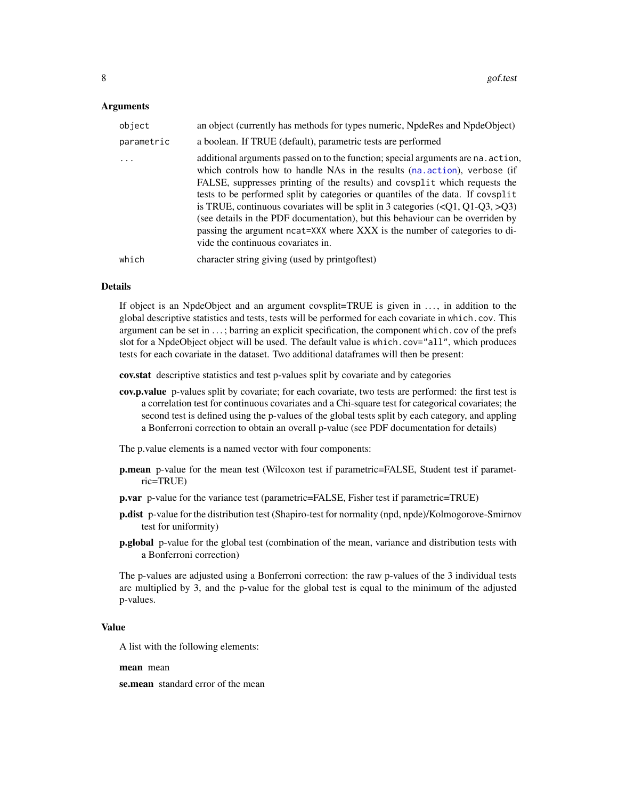#### <span id="page-7-0"></span>Arguments

| object     | an object (currently has methods for types numeric, NpdeRes and NpdeObject)                                                                                                                                                                                                                                                                                                                                                                                                                                                                                                                                                             |
|------------|-----------------------------------------------------------------------------------------------------------------------------------------------------------------------------------------------------------------------------------------------------------------------------------------------------------------------------------------------------------------------------------------------------------------------------------------------------------------------------------------------------------------------------------------------------------------------------------------------------------------------------------------|
| parametric | a boolean. If TRUE (default), parametric tests are performed                                                                                                                                                                                                                                                                                                                                                                                                                                                                                                                                                                            |
|            | additional arguments passed on to the function; special arguments are na. action,<br>which controls how to handle NAs in the results (na. action), verbose (if<br>FALSE, suppresses printing of the results) and covsplit which requests the<br>tests to be performed split by categories or quantiles of the data. If covsplit<br>is TRUE, continuous covariates will be split in 3 categories $(\langle Q1, Q1-Q3, \rangle Q3)$<br>(see details in the PDF documentation), but this behaviour can be overriden by<br>passing the argument ncat=XXX where XXX is the number of categories to di-<br>vide the continuous covariates in. |
| which      | character string giving (used by print goftest)                                                                                                                                                                                                                                                                                                                                                                                                                                                                                                                                                                                         |

#### Details

If object is an NpdeObject and an argument covsplit=TRUE is given in . . . , in addition to the global descriptive statistics and tests, tests will be performed for each covariate in which.cov. This argument can be set in . . . ; barring an explicit specification, the component which.cov of the prefs slot for a NpdeObject object will be used. The default value is which.cov="all", which produces tests for each covariate in the dataset. Two additional dataframes will then be present:

cov.stat descriptive statistics and test p-values split by covariate and by categories

cov.p.value p-values split by covariate; for each covariate, two tests are performed: the first test is a correlation test for continuous covariates and a Chi-square test for categorical covariates; the second test is defined using the p-values of the global tests split by each category, and appling a Bonferroni correction to obtain an overall p-value (see PDF documentation for details)

The p.value elements is a named vector with four components:

- p.mean p-value for the mean test (Wilcoxon test if parametric=FALSE, Student test if parametric=TRUE)
- p.var p-value for the variance test (parametric=FALSE, Fisher test if parametric=TRUE)
- p.dist p-value for the distribution test (Shapiro-test for normality (npd, npde)/Kolmogorove-Smirnov test for uniformity)
- p.global p-value for the global test (combination of the mean, variance and distribution tests with a Bonferroni correction)

The p-values are adjusted using a Bonferroni correction: the raw p-values of the 3 individual tests are multiplied by 3, and the p-value for the global test is equal to the minimum of the adjusted p-values.

## Value

A list with the following elements:

mean mean

se.mean standard error of the mean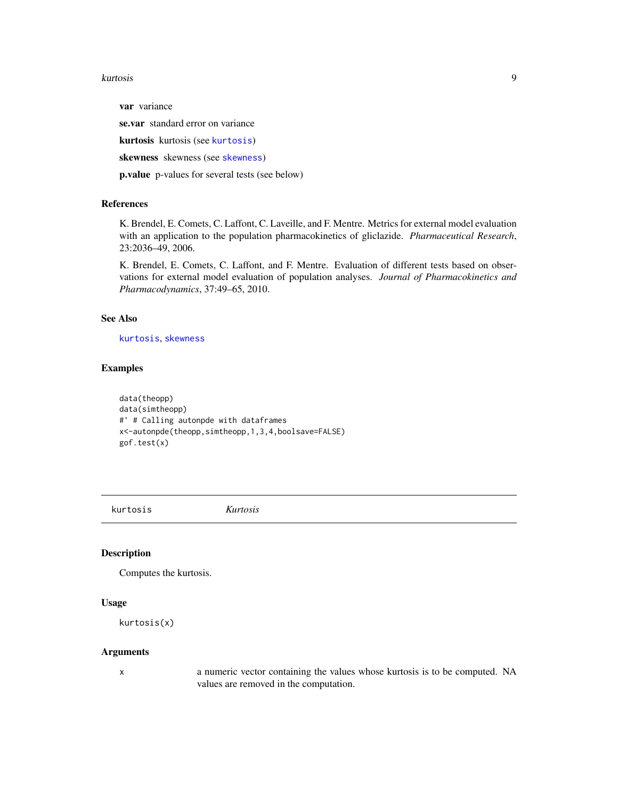#### <span id="page-8-0"></span>kurtosis 9

var variance

se.var standard error on variance

kurtosis kurtosis (see [kurtosis](#page-8-1))

[skewness](#page-33-1) skewness (see skewness)

p.value p-values for several tests (see below)

## References

K. Brendel, E. Comets, C. Laffont, C. Laveille, and F. Mentre. Metrics for external model evaluation with an application to the population pharmacokinetics of gliclazide. *Pharmaceutical Research*, 23:2036–49, 2006.

K. Brendel, E. Comets, C. Laffont, and F. Mentre. Evaluation of different tests based on observations for external model evaluation of population analyses. *Journal of Pharmacokinetics and Pharmacodynamics*, 37:49–65, 2010.

## See Also

[kurtosis](#page-8-1), [skewness](#page-33-1)

#### Examples

data(theopp) data(simtheopp) #' # Calling autonpde with dataframes x<-autonpde(theopp,simtheopp,1,3,4,boolsave=FALSE) gof.test(x)

<span id="page-8-1"></span>kurtosis *Kurtosis*

#### Description

Computes the kurtosis.

## Usage

kurtosis(x)

## Arguments

x a numeric vector containing the values whose kurtosis is to be computed. NA values are removed in the computation.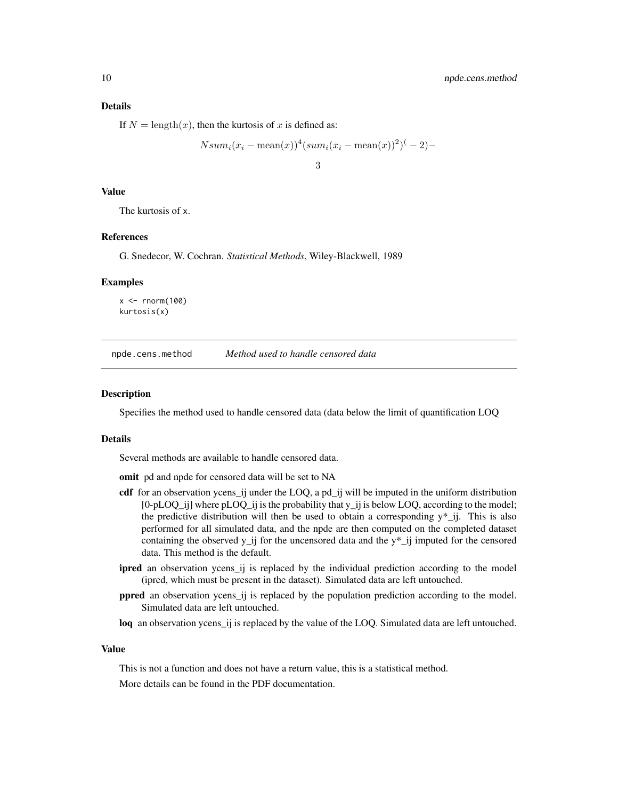## <span id="page-9-0"></span>Details

If  $N = \text{length}(x)$ , then the kurtosis of x is defined as:

$$
Nsum_i(x_i - \text{mean}(x))^4(sum_i(x_i - \text{mean}(x))^2)^{-1} - 2
$$

3

#### Value

The kurtosis of x.

#### References

G. Snedecor, W. Cochran. *Statistical Methods*, Wiley-Blackwell, 1989

#### Examples

 $x \le$  rnorm(100) kurtosis(x)

<span id="page-9-1"></span>npde.cens.method *Method used to handle censored data*

#### **Description**

Specifies the method used to handle censored data (data below the limit of quantification LOQ

#### Details

Several methods are available to handle censored data.

omit pd and npde for censored data will be set to NA

- cdf for an observation ycens\_ij under the LOQ, a pd\_ij will be imputed in the uniform distribution [0-pLOQ\_ij] where pLOQ\_ij is the probability that y\_ij is below LOQ, according to the model; the predictive distribution will then be used to obtain a corresponding  $y^*_{i,j}$ . This is also performed for all simulated data, and the npde are then computed on the completed dataset containing the observed y\_ij for the uncensored data and the y\*\_ij imputed for the censored data. This method is the default.
- ipred an observation ycens\_ij is replaced by the individual prediction according to the model (ipred, which must be present in the dataset). Simulated data are left untouched.
- ppred an observation ycens\_ij is replaced by the population prediction according to the model. Simulated data are left untouched.
- loq an observation ycens\_ij is replaced by the value of the LOQ. Simulated data are left untouched.

## Value

This is not a function and does not have a return value, this is a statistical method.

More details can be found in the PDF documentation.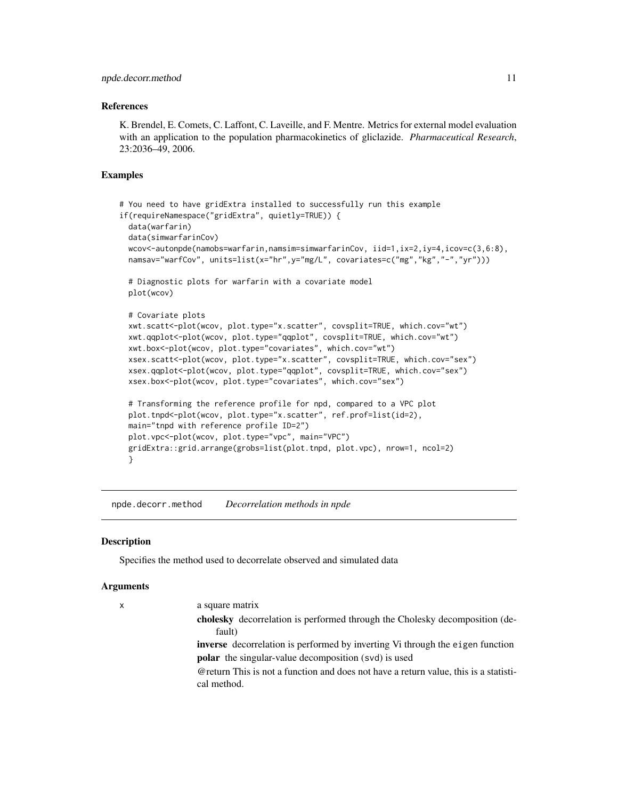#### <span id="page-10-0"></span>References

K. Brendel, E. Comets, C. Laffont, C. Laveille, and F. Mentre. Metrics for external model evaluation with an application to the population pharmacokinetics of gliclazide. *Pharmaceutical Research*, 23:2036–49, 2006.

#### Examples

```
# You need to have gridExtra installed to successfully run this example
if(requireNamespace("gridExtra", quietly=TRUE)) {
 data(warfarin)
 data(simwarfarinCov)
 wcov<-autonpde(namobs=warfarin,namsim=simwarfarinCov, iid=1,ix=2,iy=4,icov=c(3,6:8),
 namsav="warfCov", units=list(x="hr",y="mg/L", covariates=c("mg","kg","-","yr")))
 # Diagnostic plots for warfarin with a covariate model
 plot(wcov)
 # Covariate plots
 xwt.scatt<-plot(wcov, plot.type="x.scatter", covsplit=TRUE, which.cov="wt")
 xwt.qqplot<-plot(wcov, plot.type="qqplot", covsplit=TRUE, which.cov="wt")
 xwt.box<-plot(wcov, plot.type="covariates", which.cov="wt")
 xsex.scatt<-plot(wcov, plot.type="x.scatter", covsplit=TRUE, which.cov="sex")
 xsex.qqplot<-plot(wcov, plot.type="qqplot", covsplit=TRUE, which.cov="sex")
 xsex.box<-plot(wcov, plot.type="covariates", which.cov="sex")
 # Transforming the reference profile for npd, compared to a VPC plot
 plot.tnpd<-plot(wcov, plot.type="x.scatter", ref.prof=list(id=2),
 main="tnpd with reference profile ID=2")
 plot.vpc<-plot(wcov, plot.type="vpc", main="VPC")
 gridExtra::grid.arrange(grobs=list(plot.tnpd, plot.vpc), nrow=1, ncol=2)
 }
```
<span id="page-10-1"></span>npde.decorr.method *Decorrelation methods in npde*

#### Description

Specifies the method used to decorrelate observed and simulated data

#### Arguments

x a square matrix cholesky decorrelation is performed through the Cholesky decomposition (default)

> inverse decorrelation is performed by inverting Vi through the eigen function polar the singular-value decomposition (svd) is used

> @return This is not a function and does not have a return value, this is a statistical method.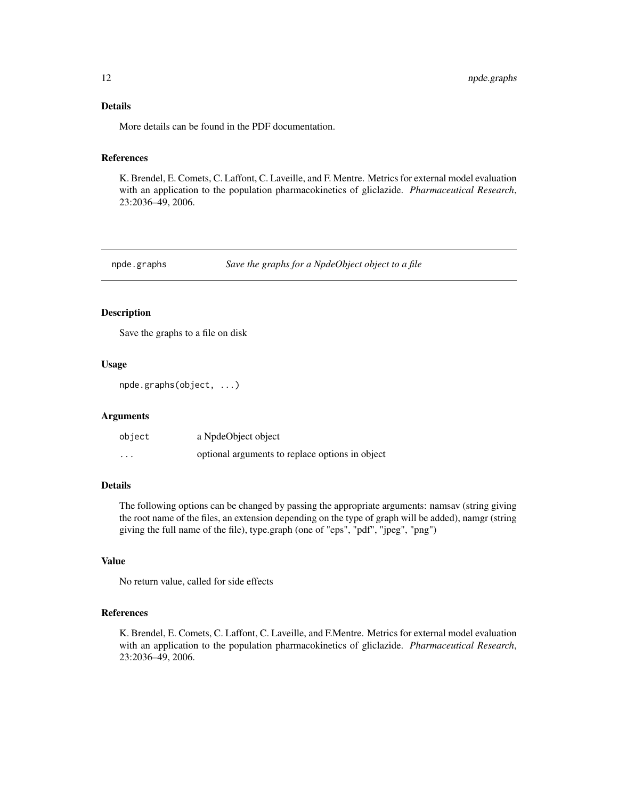## <span id="page-11-0"></span>Details

More details can be found in the PDF documentation.

## References

K. Brendel, E. Comets, C. Laffont, C. Laveille, and F. Mentre. Metrics for external model evaluation with an application to the population pharmacokinetics of gliclazide. *Pharmaceutical Research*, 23:2036–49, 2006.

<span id="page-11-1"></span>npde.graphs *Save the graphs for a NpdeObject object to a file*

## Description

Save the graphs to a file on disk

#### Usage

npde.graphs(object, ...)

## Arguments

| object   | a NpdeObject object                             |
|----------|-------------------------------------------------|
| $\cdots$ | optional arguments to replace options in object |

#### Details

The following options can be changed by passing the appropriate arguments: namsav (string giving the root name of the files, an extension depending on the type of graph will be added), namgr (string giving the full name of the file), type.graph (one of "eps", "pdf", "jpeg", "png")

## Value

No return value, called for side effects

#### References

K. Brendel, E. Comets, C. Laffont, C. Laveille, and F.Mentre. Metrics for external model evaluation with an application to the population pharmacokinetics of gliclazide. *Pharmaceutical Research*, 23:2036–49, 2006.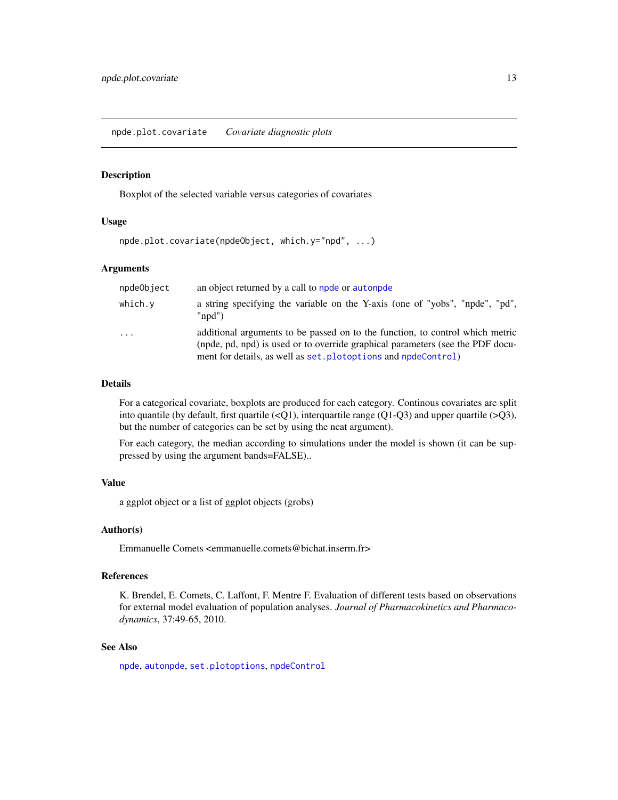#### <span id="page-12-0"></span>Description

Boxplot of the selected variable versus categories of covariates

## Usage

```
npde.plot.covariate(npdeObject, which.y="npd", ...)
```
#### Arguments

| npdeObject | an object returned by a call to npde or autonpde                                                                                                                                                                                  |
|------------|-----------------------------------------------------------------------------------------------------------------------------------------------------------------------------------------------------------------------------------|
| which.y    | a string specifying the variable on the Y-axis (one of "yobs", "npde", "pd",<br>" $\text{mod}$ ")                                                                                                                                 |
| $\cdot$    | additional arguments to be passed on to the function, to control which metric<br>(npde, pd, npd) is used or to override graphical parameters (see the PDF docu-<br>ment for details, as well as set. plotoptions and npdeControl) |

## Details

For a categorical covariate, boxplots are produced for each category. Continous covariates are split into quantile (by default, first quartile  $\langle \langle Q_1 \rangle$ ), interquartile range  $\langle Q_1 \rangle$ -Q3) and upper quartile (>Q3), but the number of categories can be set by using the ncat argument).

For each category, the median according to simulations under the model is shown (it can be suppressed by using the argument bands=FALSE)..

## Value

a ggplot object or a list of ggplot objects (grobs)

#### Author(s)

Emmanuelle Comets <emmanuelle.comets@bichat.inserm.fr>

#### References

K. Brendel, E. Comets, C. Laffont, F. Mentre F. Evaluation of different tests based on observations for external model evaluation of population analyses. *Journal of Pharmacokinetics and Pharmacodynamics*, 37:49-65, 2010.

## See Also

[npde](#page-2-1), [autonpde](#page-2-2), [set.plotoptions](#page-30-1), [npdeControl](#page-21-1)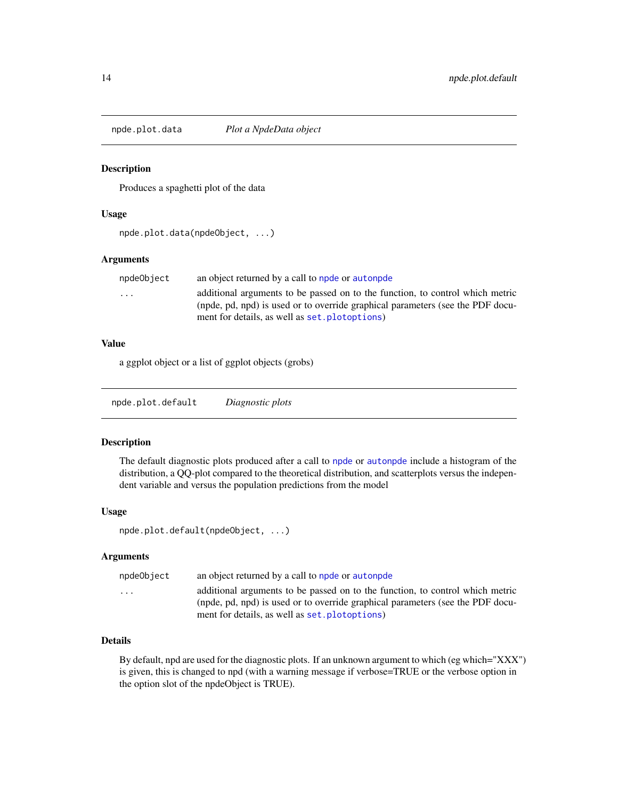<span id="page-13-0"></span>npde.plot.data *Plot a NpdeData object*

#### Description

Produces a spaghetti plot of the data

#### Usage

npde.plot.data(npdeObject, ...)

## Arguments

| npdeObject              | an object returned by a call to npde or autonpde                               |
|-------------------------|--------------------------------------------------------------------------------|
| $\cdot$ $\cdot$ $\cdot$ | additional arguments to be passed on to the function, to control which metric  |
|                         | (npde, pd, npd) is used or to override graphical parameters (see the PDF docu- |
|                         | ment for details, as well as set. plotoptions)                                 |

#### Value

a ggplot object or a list of ggplot objects (grobs)

npde.plot.default *Diagnostic plots*

#### Description

The default diagnostic plots produced after a call to [npde](#page-2-1) or [autonpde](#page-2-2) include a histogram of the distribution, a QQ-plot compared to the theoretical distribution, and scatterplots versus the independent variable and versus the population predictions from the model

#### Usage

```
npde.plot.default(npdeObject, ...)
```
#### Arguments

| npdeObject | an object returned by a call to npde or autonpde                               |
|------------|--------------------------------------------------------------------------------|
| $\cdots$   | additional arguments to be passed on to the function, to control which metric  |
|            | (npde, pd, npd) is used or to override graphical parameters (see the PDF docu- |
|            | ment for details, as well as set. plotoptions)                                 |

## Details

By default, npd are used for the diagnostic plots. If an unknown argument to which (eg which="XXX") is given, this is changed to npd (with a warning message if verbose=TRUE or the verbose option in the option slot of the npdeObject is TRUE).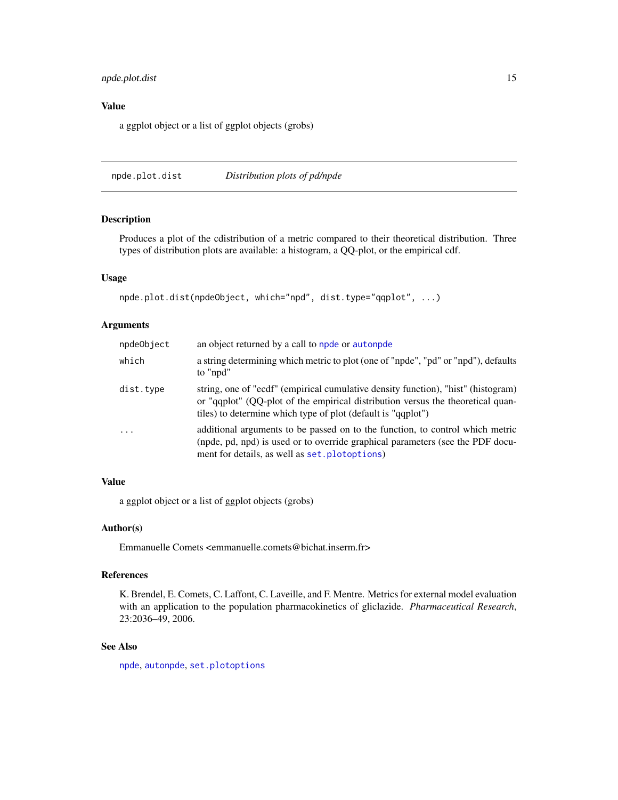## <span id="page-14-0"></span>npde.plot.dist 15

## Value

a ggplot object or a list of ggplot objects (grobs)

npde.plot.dist *Distribution plots of pd/npde*

## Description

Produces a plot of the cdistribution of a metric compared to their theoretical distribution. Three types of distribution plots are available: a histogram, a QQ-plot, or the empirical cdf.

## Usage

```
npde.plot.dist(npdeObject, which="npd", dist.type="qqplot", ...)
```
#### Arguments

| npdeObject              | an object returned by a call to npde or autonpde                                                                                                                                                                                     |
|-------------------------|--------------------------------------------------------------------------------------------------------------------------------------------------------------------------------------------------------------------------------------|
| which                   | a string determining which metric to plot (one of "npde", "pd" or "npd"), defaults<br>to "npd"                                                                                                                                       |
| dist.type               | string, one of "ecdf" (empirical cumulative density function), "hist" (histogram)<br>or "qqplot" (QQ-plot of the empirical distribution versus the theoretical quan-<br>tiles) to determine which type of plot (default is "qqplot") |
| $\cdot$ $\cdot$ $\cdot$ | additional arguments to be passed on to the function, to control which metric<br>(npde, pd, npd) is used or to override graphical parameters (see the PDF docu-<br>ment for details, as well as set. plotoptions)                    |

## Value

a ggplot object or a list of ggplot objects (grobs)

## Author(s)

Emmanuelle Comets <emmanuelle.comets@bichat.inserm.fr>

#### References

K. Brendel, E. Comets, C. Laffont, C. Laveille, and F. Mentre. Metrics for external model evaluation with an application to the population pharmacokinetics of gliclazide. *Pharmaceutical Research*, 23:2036–49, 2006.

## See Also

[npde](#page-2-1), [autonpde](#page-2-2), [set.plotoptions](#page-30-1)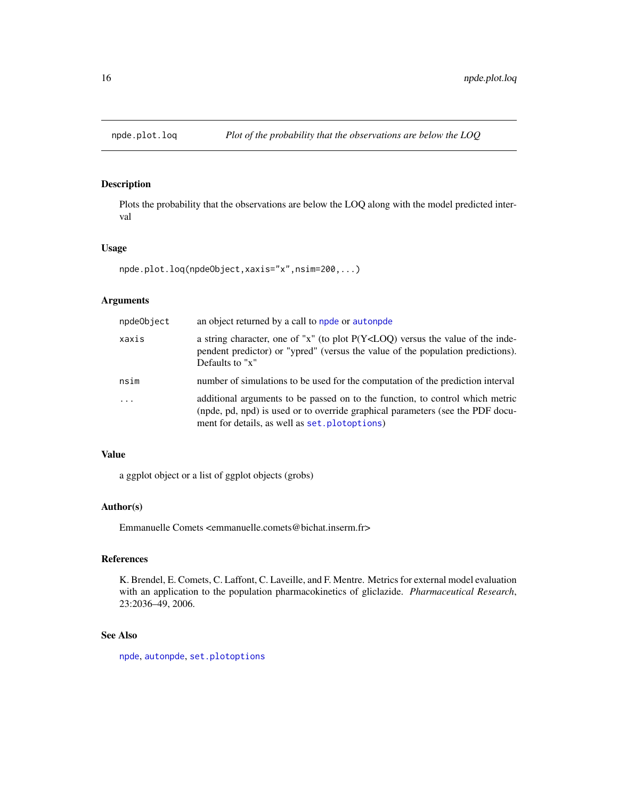<span id="page-15-0"></span>

## Description

Plots the probability that the observations are below the LOQ along with the model predicted interval

#### Usage

```
npde.plot.loq(npdeObject,xaxis="x",nsim=200,...)
```
## Arguments

| npdeObject | an object returned by a call to npde or autonpde                                                                                                                                                                  |
|------------|-------------------------------------------------------------------------------------------------------------------------------------------------------------------------------------------------------------------|
| xaxis      | a string character, one of "x" (to plot $P(Y < LOQ)$ ) versus the value of the inde-<br>pendent predictor) or "ypred" (versus the value of the population predictions).<br>Defaults to "x"                        |
| nsim       | number of simulations to be used for the computation of the prediction interval                                                                                                                                   |
| $\cdots$   | additional arguments to be passed on to the function, to control which metric<br>(npde, pd, npd) is used or to override graphical parameters (see the PDF docu-<br>ment for details, as well as set. plotoptions) |

## Value

a ggplot object or a list of ggplot objects (grobs)

## Author(s)

Emmanuelle Comets <emmanuelle.comets@bichat.inserm.fr>

## References

K. Brendel, E. Comets, C. Laffont, C. Laveille, and F. Mentre. Metrics for external model evaluation with an application to the population pharmacokinetics of gliclazide. *Pharmaceutical Research*, 23:2036–49, 2006.

## See Also

[npde](#page-2-1), [autonpde](#page-2-2), [set.plotoptions](#page-30-1)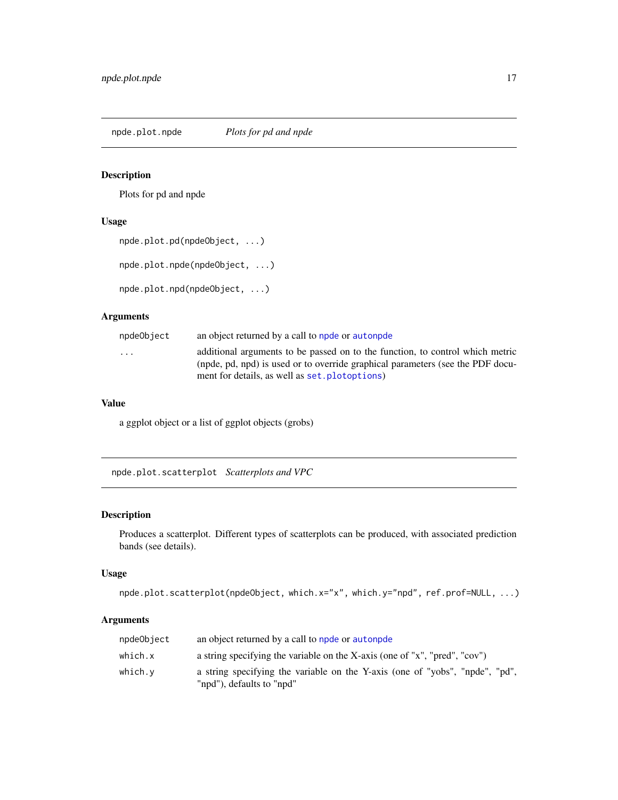<span id="page-16-0"></span>npde.plot.npde *Plots for pd and npde*

## Description

Plots for pd and npde

## Usage

```
npde.plot.pd(npdeObject, ...)
```
npde.plot.npde(npdeObject, ...)

```
npde.plot.npd(npdeObject, ...)
```
## Arguments

| npdeObject              | an object returned by a call to npde or autonpde                                                                                                                                                                  |
|-------------------------|-------------------------------------------------------------------------------------------------------------------------------------------------------------------------------------------------------------------|
| $\cdot$ $\cdot$ $\cdot$ | additional arguments to be passed on to the function, to control which metric<br>(npde, pd, npd) is used or to override graphical parameters (see the PDF docu-<br>ment for details, as well as set. plotoptions) |
|                         |                                                                                                                                                                                                                   |

## Value

a ggplot object or a list of ggplot objects (grobs)

npde.plot.scatterplot *Scatterplots and VPC*

## Description

Produces a scatterplot. Different types of scatterplots can be produced, with associated prediction bands (see details).

## Usage

```
npde.plot.scatterplot(npdeObject, which.x="x", which.y="npd", ref.prof=NULL, ...)
```
## Arguments

| npdeObject | an object returned by a call to npde or autonpde                                                          |
|------------|-----------------------------------------------------------------------------------------------------------|
| which.x    | a string specifying the variable on the X-axis (one of "x", "pred", "cov")                                |
| which.v    | a string specifying the variable on the Y-axis (one of "yobs", "npde", "pd",<br>"npd"), defaults to "npd" |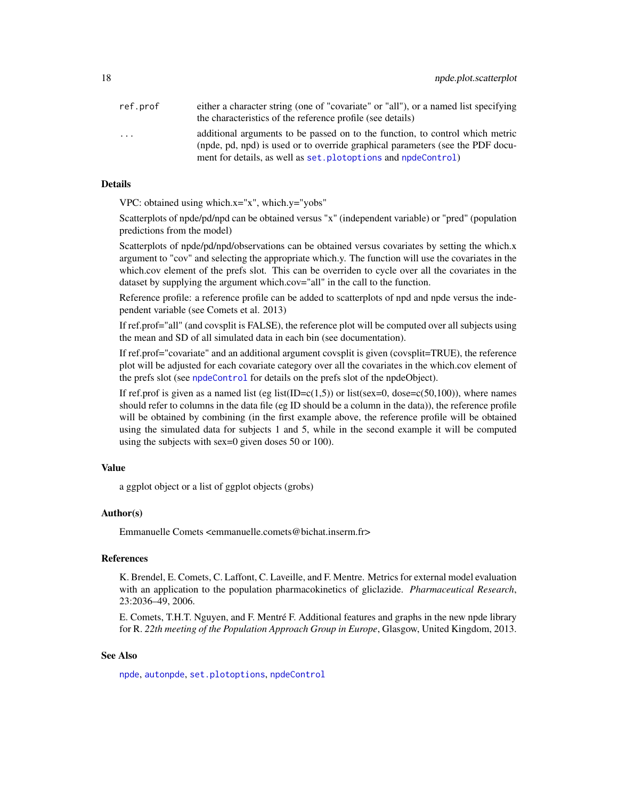<span id="page-17-0"></span>

| ref.prof                | either a character string (one of "covariate" or "all"), or a named list specifying |
|-------------------------|-------------------------------------------------------------------------------------|
|                         | the characteristics of the reference profile (see details)                          |
| $\cdot$ $\cdot$ $\cdot$ | additional arguments to be passed on to the function, to control which metric       |
|                         | (npde, pd, npd) is used or to override graphical parameters (see the PDF docu-      |
|                         | ment for details, as well as set. plotoptions and npdeControl)                      |

## Details

VPC: obtained using which.x="x", which.y="yobs"

Scatterplots of npde/pd/npd can be obtained versus "x" (independent variable) or "pred" (population predictions from the model)

Scatterplots of npde/pd/npd/observations can be obtained versus covariates by setting the which.x argument to "cov" and selecting the appropriate which.y. The function will use the covariates in the which.cov element of the prefs slot. This can be overriden to cycle over all the covariates in the dataset by supplying the argument which.cov="all" in the call to the function.

Reference profile: a reference profile can be added to scatterplots of npd and npde versus the independent variable (see Comets et al. 2013)

If ref.prof="all" (and covsplit is FALSE), the reference plot will be computed over all subjects using the mean and SD of all simulated data in each bin (see documentation).

If ref.prof="covariate" and an additional argument covsplit is given (covsplit=TRUE), the reference plot will be adjusted for each covariate category over all the covariates in the which.cov element of the prefs slot (see [npdeControl](#page-21-1) for details on the prefs slot of the npdeObject).

If ref.prof is given as a named list (eg list(ID= $c(1,5)$ ) or list(sex=0, dose= $c(50,100)$ ), where names should refer to columns in the data file (eg ID should be a column in the data)), the reference profile will be obtained by combining (in the first example above, the reference profile will be obtained using the simulated data for subjects 1 and 5, while in the second example it will be computed using the subjects with sex=0 given doses 50 or 100).

#### Value

a ggplot object or a list of ggplot objects (grobs)

#### Author(s)

Emmanuelle Comets <emmanuelle.comets@bichat.inserm.fr>

## References

K. Brendel, E. Comets, C. Laffont, C. Laveille, and F. Mentre. Metrics for external model evaluation with an application to the population pharmacokinetics of gliclazide. *Pharmaceutical Research*, 23:2036–49, 2006.

E. Comets, T.H.T. Nguyen, and F. Mentré F. Additional features and graphs in the new npde library for R. *22th meeting of the Population Approach Group in Europe*, Glasgow, United Kingdom, 2013.

## See Also

[npde](#page-2-1), [autonpde](#page-2-2), [set.plotoptions](#page-30-1), [npdeControl](#page-21-1)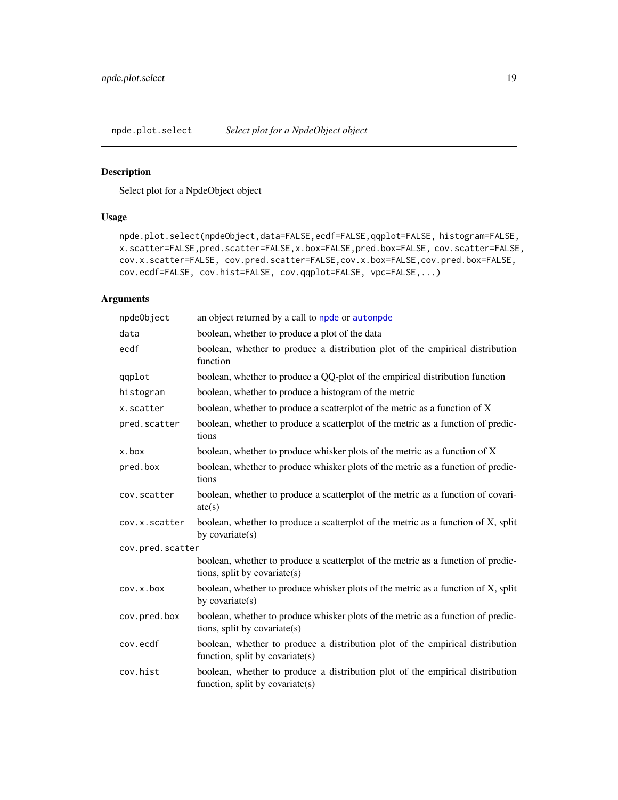<span id="page-18-0"></span>npde.plot.select *Select plot for a NpdeObject object*

## Description

Select plot for a NpdeObject object

## Usage

```
npde.plot.select(npdeObject,data=FALSE,ecdf=FALSE,qqplot=FALSE, histogram=FALSE,
x.scatter=FALSE,pred.scatter=FALSE,x.box=FALSE,pred.box=FALSE, cov.scatter=FALSE,
cov.x.scatter=FALSE, cov.pred.scatter=FALSE,cov.x.box=FALSE,cov.pred.box=FALSE,
cov.ecdf=FALSE, cov.hist=FALSE, cov.qqplot=FALSE, vpc=FALSE,...)
```
## Arguments

| npdeObject       | an object returned by a call to npde or autonpde                                                                    |
|------------------|---------------------------------------------------------------------------------------------------------------------|
| data             | boolean, whether to produce a plot of the data                                                                      |
| ecdf             | boolean, whether to produce a distribution plot of the empirical distribution<br>function                           |
| qqplot           | boolean, whether to produce a QQ-plot of the empirical distribution function                                        |
| histogram        | boolean, whether to produce a histogram of the metric                                                               |
| x.scatter        | boolean, whether to produce a scatterplot of the metric as a function of X                                          |
| pred.scatter     | boolean, whether to produce a scatterplot of the metric as a function of predic-<br>tions                           |
| x.box            | boolean, whether to produce whisker plots of the metric as a function of X                                          |
| pred.box         | boolean, whether to produce whisker plots of the metric as a function of predic-<br>tions                           |
| cov.scatter      | boolean, whether to produce a scatterplot of the metric as a function of covari-<br>ate(s)                          |
| cov.x.scatter    | boolean, whether to produce a scatterplot of the metric as a function of X, split<br>by covariate $(s)$             |
| cov.pred.scatter |                                                                                                                     |
|                  | boolean, whether to produce a scatterplot of the metric as a function of predic-<br>tions, split by covariate(s)    |
| cov.x.box        | boolean, whether to produce whisker plots of the metric as a function of X, split<br>by covariate(s)                |
| cov.pred.box     | boolean, whether to produce whisker plots of the metric as a function of predic-<br>tions, split by covariate(s)    |
| cov.ecdf         | boolean, whether to produce a distribution plot of the empirical distribution<br>function, split by covariate $(s)$ |
| cov.hist         | boolean, whether to produce a distribution plot of the empirical distribution<br>function, split by covariate(s)    |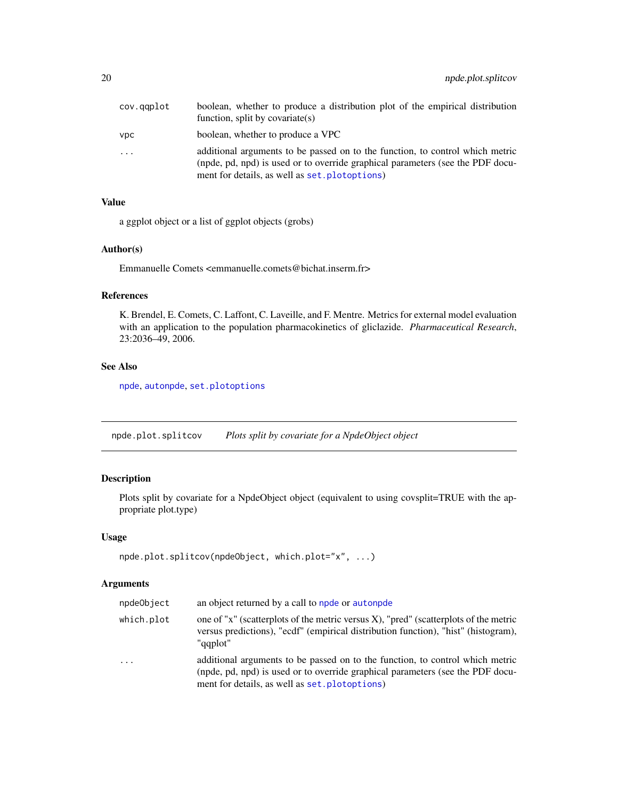<span id="page-19-0"></span>

| cov.gaplot | boolean, whether to produce a distribution plot of the empirical distribution<br>function, split by covariate(s)                                                                                                  |
|------------|-------------------------------------------------------------------------------------------------------------------------------------------------------------------------------------------------------------------|
| <b>VDC</b> | boolean, whether to produce a VPC                                                                                                                                                                                 |
| $\cdots$   | additional arguments to be passed on to the function, to control which metric<br>(npde, pd, npd) is used or to override graphical parameters (see the PDF docu-<br>ment for details, as well as set. plotoptions) |

## Value

a ggplot object or a list of ggplot objects (grobs)

## Author(s)

Emmanuelle Comets <emmanuelle.comets@bichat.inserm.fr>

## References

K. Brendel, E. Comets, C. Laffont, C. Laveille, and F. Mentre. Metrics for external model evaluation with an application to the population pharmacokinetics of gliclazide. *Pharmaceutical Research*, 23:2036–49, 2006.

## See Also

[npde](#page-2-1), [autonpde](#page-2-2), [set.plotoptions](#page-30-1)

npde.plot.splitcov *Plots split by covariate for a NpdeObject object*

## Description

Plots split by covariate for a NpdeObject object (equivalent to using covsplit=TRUE with the appropriate plot.type)

#### Usage

```
npde.plot.splitcov(npdeObject, which.plot="x", ...)
```
## Arguments

| npdeObject | an object returned by a call to npde or autonpde                                                                                                                                                                  |
|------------|-------------------------------------------------------------------------------------------------------------------------------------------------------------------------------------------------------------------|
| which.plot | one of "x" (scatterplots of the metric versus X), "pred" (scatterplots of the metric<br>versus predictions), "ecdf" (empirical distribution function), "hist" (histogram),<br>"gaplot"                            |
| $\cdot$    | additional arguments to be passed on to the function, to control which metric<br>(npde, pd, npd) is used or to override graphical parameters (see the PDF docu-<br>ment for details, as well as set. plotoptions) |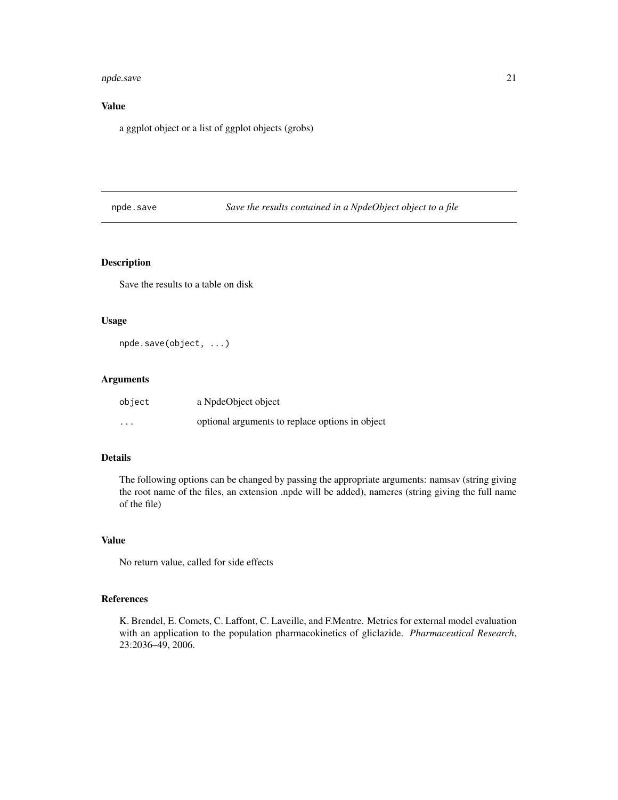#### <span id="page-20-0"></span>npde.save 21

## Value

a ggplot object or a list of ggplot objects (grobs)

npde.save *Save the results contained in a NpdeObject object to a file*

## Description

Save the results to a table on disk

#### Usage

npde.save(object, ...)

## Arguments

| object   | a NpdeObject object                             |
|----------|-------------------------------------------------|
| $\cdots$ | optional arguments to replace options in object |

## Details

The following options can be changed by passing the appropriate arguments: namsav (string giving the root name of the files, an extension .npde will be added), nameres (string giving the full name of the file)

## Value

No return value, called for side effects

## References

K. Brendel, E. Comets, C. Laffont, C. Laveille, and F.Mentre. Metrics for external model evaluation with an application to the population pharmacokinetics of gliclazide. *Pharmaceutical Research*, 23:2036–49, 2006.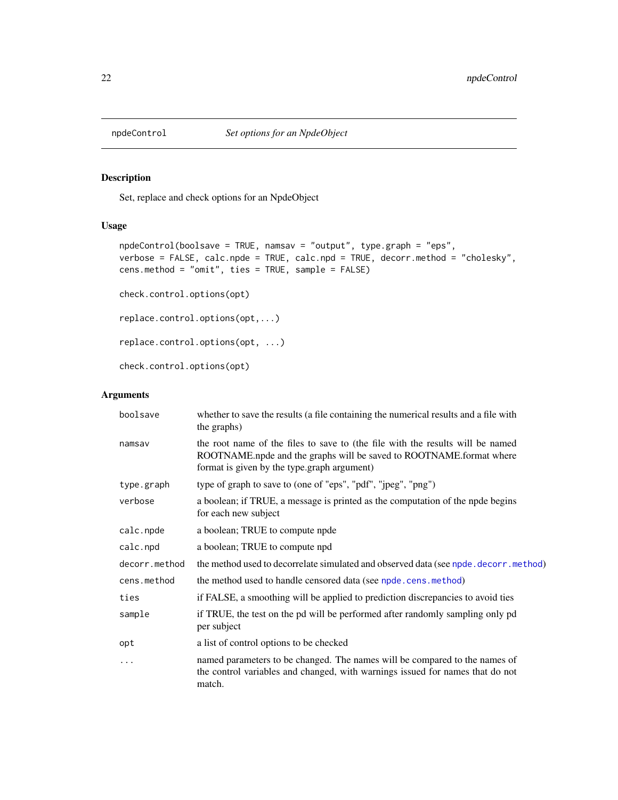<span id="page-21-1"></span><span id="page-21-0"></span>

## Description

Set, replace and check options for an NpdeObject

#### Usage

```
npdeControl(boolsave = TRUE, namsav = "output", type.graph = "eps",
verbose = FALSE, calc.npde = TRUE, calc.npd = TRUE, decorr.method = "cholesky",
cens.method = "omit", ties = TRUE, sample = FALSE)
check.control.options(opt)
replace.control.options(opt,...)
replace.control.options(opt, ...)
```
check.control.options(opt)

## Arguments

| boolsave      | whether to save the results (a file containing the numerical results and a file with<br>the graphs)                                                                                                  |
|---------------|------------------------------------------------------------------------------------------------------------------------------------------------------------------------------------------------------|
| namsav        | the root name of the files to save to (the file with the results will be named<br>ROOTNAME.npde and the graphs will be saved to ROOTNAME.format where<br>format is given by the type.graph argument) |
| type.graph    | type of graph to save to (one of "eps", "pdf", "jpeg", "png")                                                                                                                                        |
| verbose       | a boolean; if TRUE, a message is printed as the computation of the npde begins<br>for each new subject                                                                                               |
| calc.npde     | a boolean; TRUE to compute npde                                                                                                                                                                      |
| calc.npd      | a boolean; TRUE to compute npd                                                                                                                                                                       |
| decorr.method | the method used to decorrelate simulated and observed data (see npde. decorr. method)                                                                                                                |
| cens.method   | the method used to handle censored data (see npde.cens.method)                                                                                                                                       |
| ties          | if FALSE, a smoothing will be applied to prediction discrepancies to avoid ties                                                                                                                      |
| sample        | if TRUE, the test on the pd will be performed after randomly sampling only pd<br>per subject                                                                                                         |
| opt           | a list of control options to be checked                                                                                                                                                              |
| .             | named parameters to be changed. The names will be compared to the names of<br>the control variables and changed, with warnings issued for names that do not<br>match.                                |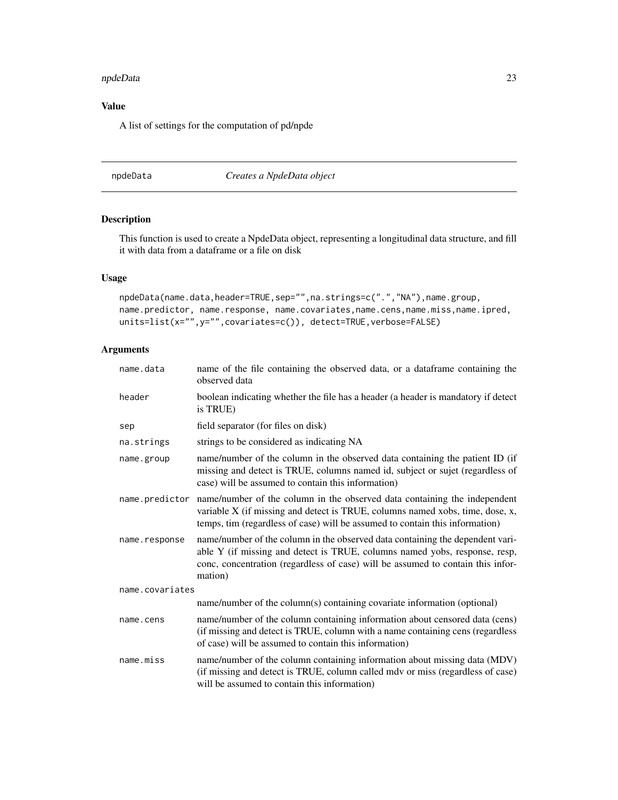#### <span id="page-22-0"></span>npdeData 23

## Value

A list of settings for the computation of pd/npde

#### <span id="page-22-1"></span>npdeData *Creates a NpdeData object*

## Description

This function is used to create a NpdeData object, representing a longitudinal data structure, and fill it with data from a dataframe or a file on disk

## Usage

```
npdeData(name.data,header=TRUE,sep="",na.strings=c(".","NA"),name.group,
name.predictor, name.response, name.covariates,name.cens,name.miss,name.ipred,
units=list(x="",y="",covariates=c()), detect=TRUE,verbose=FALSE)
```
## Arguments

| name.data       | name of the file containing the observed data, or a dataframe containing the<br>observed data                                                                                                                                                             |  |
|-----------------|-----------------------------------------------------------------------------------------------------------------------------------------------------------------------------------------------------------------------------------------------------------|--|
| header          | boolean indicating whether the file has a header (a header is mandatory if detect<br>is TRUE)                                                                                                                                                             |  |
| sep             | field separator (for files on disk)                                                                                                                                                                                                                       |  |
| na.strings      | strings to be considered as indicating NA                                                                                                                                                                                                                 |  |
| name.group      | name/number of the column in the observed data containing the patient ID (if<br>missing and detect is TRUE, columns named id, subject or sujet (regardless of<br>case) will be assumed to contain this information)                                       |  |
| name.predictor  | name/number of the column in the observed data containing the independent<br>variable X (if missing and detect is TRUE, columns named xobs, time, dose, x,<br>temps, tim (regardless of case) will be assumed to contain this information)                |  |
| name.response   | name/number of the column in the observed data containing the dependent vari-<br>able Y (if missing and detect is TRUE, columns named yobs, response, resp,<br>conc, concentration (regardless of case) will be assumed to contain this infor-<br>mation) |  |
| name.covariates |                                                                                                                                                                                                                                                           |  |
|                 | name/number of the column(s) containing covariate information (optional)                                                                                                                                                                                  |  |
| name.cens       | name/number of the column containing information about censored data (cens)<br>(if missing and detect is TRUE, column with a name containing cens (regardless<br>of case) will be assumed to contain this information)                                    |  |
| name.miss       | name/number of the column containing information about missing data (MDV)<br>(if missing and detect is TRUE, column called mdv or miss (regardless of case)<br>will be assumed to contain this information)                                               |  |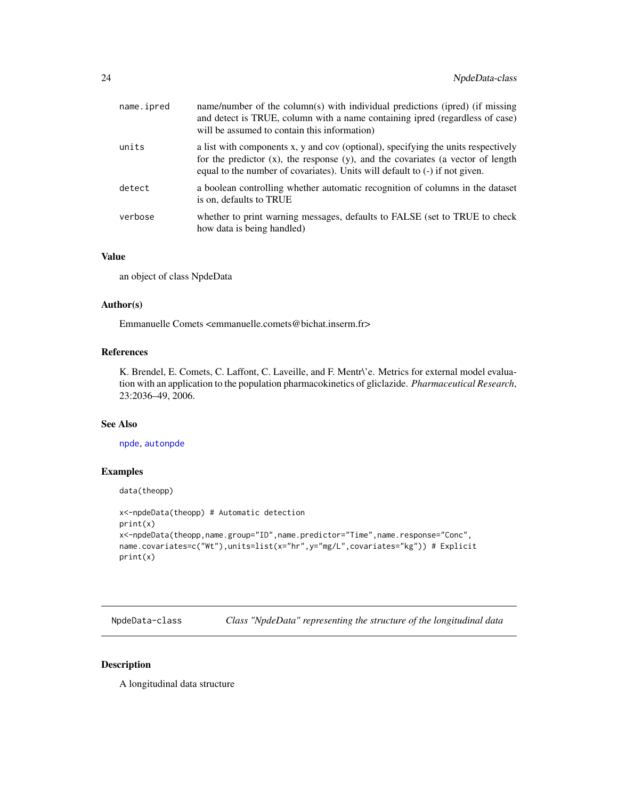<span id="page-23-0"></span>

| name.ipred | name/number of the column(s) with individual predictions (ipred) (if missing<br>and detect is TRUE, column with a name containing ipred (regardless of case)<br>will be assumed to contain this information)                                              |
|------------|-----------------------------------------------------------------------------------------------------------------------------------------------------------------------------------------------------------------------------------------------------------|
| units      | a list with components x, y and cov (optional), specifying the units respectively<br>for the predictor $(x)$ , the response $(y)$ , and the covariates (a vector of length<br>equal to the number of covariates). Units will default to (-) if not given. |
| detect     | a boolean controlling whether automatic recognition of columns in the dataset<br>is on, defaults to TRUE                                                                                                                                                  |
| verbose    | whether to print warning messages, defaults to FALSE (set to TRUE to check<br>how data is being handled)                                                                                                                                                  |

## Value

an object of class NpdeData

#### Author(s)

Emmanuelle Comets <emmanuelle.comets@bichat.inserm.fr>

## References

K. Brendel, E. Comets, C. Laffont, C. Laveille, and F. Mentr\'e. Metrics for external model evaluation with an application to the population pharmacokinetics of gliclazide. *Pharmaceutical Research*, 23:2036–49, 2006.

## See Also

[npde](#page-2-1), [autonpde](#page-2-2)

## Examples

```
data(theopp)
```

```
x<-npdeData(theopp) # Automatic detection
print(x)
x<-npdeData(theopp,name.group="ID",name.predictor="Time",name.response="Conc",
name.covariates=c("Wt"),units=list(x="hr",y="mg/L",covariates="kg")) # Explicit
print(x)
```
NpdeData-class *Class "NpdeData" representing the structure of the longitudinal data*

#### <span id="page-23-1"></span>Description

A longitudinal data structure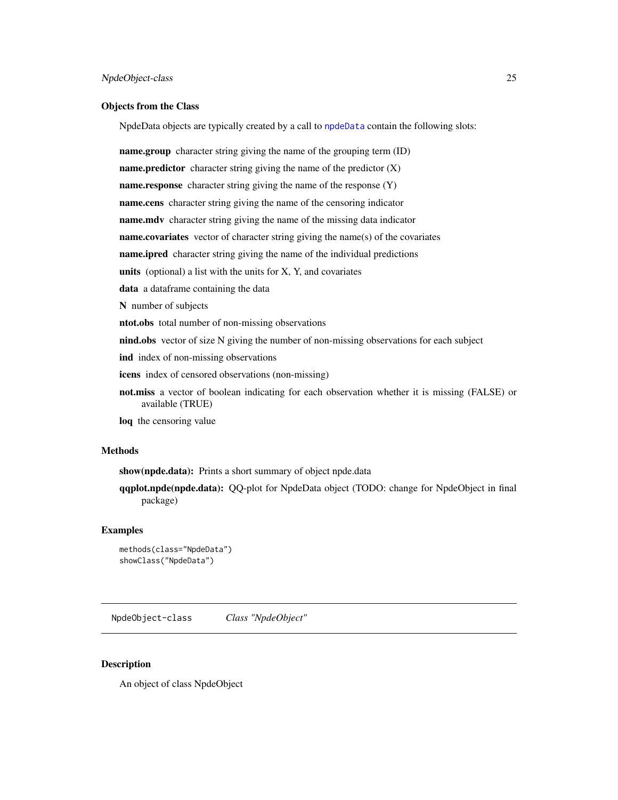#### <span id="page-24-0"></span>Objects from the Class

NpdeData objects are typically created by a call to [npdeData](#page-22-1) contain the following slots:

**name.group** character string giving the name of the grouping term (ID) name.predictor character string giving the name of the predictor  $(X)$ name.response character string giving the name of the response (Y) name.cens character string giving the name of the censoring indicator name.mdv character string giving the name of the missing data indicator name.covariates vector of character string giving the name(s) of the covariates name.ipred character string giving the name of the individual predictions units (optional) a list with the units for  $X$ ,  $Y$ , and covariates data a dataframe containing the data N number of subjects ntot.obs total number of non-missing observations nind.obs vector of size N giving the number of non-missing observations for each subject ind index of non-missing observations icens index of censored observations (non-missing) not.miss a vector of boolean indicating for each observation whether it is missing (FALSE) or available (TRUE)

loq the censoring value

## Methods

show(npde.data): Prints a short summary of object npde.data

qqplot.npde(npde.data): QQ-plot for NpdeData object (TODO: change for NpdeObject in final package)

#### Examples

```
methods(class="NpdeData")
showClass("NpdeData")
```
NpdeObject-class *Class "NpdeObject"*

#### <span id="page-24-1"></span>**Description**

An object of class NpdeObject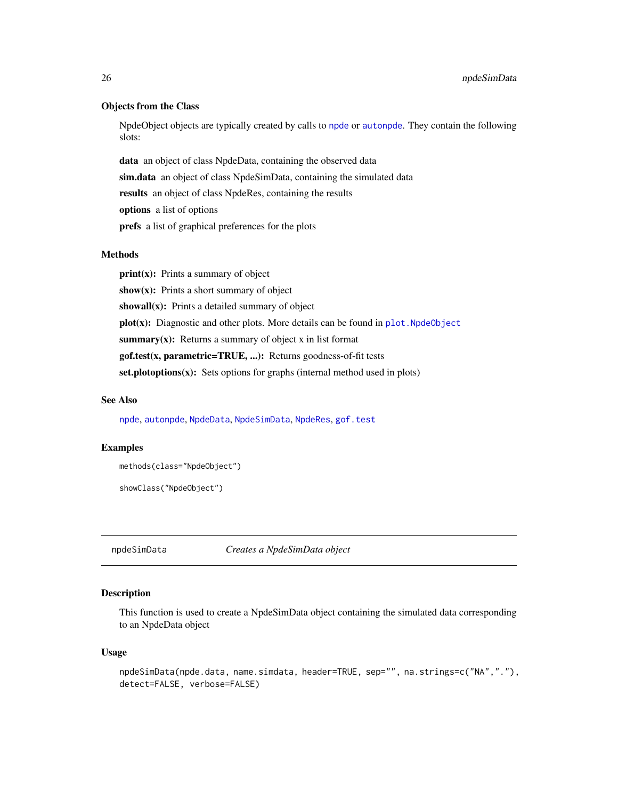#### <span id="page-25-0"></span>Objects from the Class

NpdeObject objects are typically created by calls to [npde](#page-2-1) or [autonpde](#page-2-2). They contain the following slots:

data an object of class NpdeData, containing the observed data sim.data an object of class NpdeSimData, containing the simulated data results an object of class NpdeRes, containing the results options a list of options prefs a list of graphical preferences for the plots

#### Methods

 $print(x)$ : Prints a summary of object show $(x)$ : Prints a short summary of object showall $(x)$ : Prints a detailed summary of object plot(x): Diagnostic and other plots. More details can be found in plot. NpdeObject summary $(x)$ : Returns a summary of object x in list format gof.test(x, parametric=TRUE, ...): Returns goodness-of-fit tests  $set.plot options(x):$  Sets options for graphs (internal method used in plots)

#### See Also

[npde](#page-2-1), [autonpde](#page-2-2), [NpdeData](#page-23-1), [NpdeSimData](#page-26-1), [NpdeRes](#page-0-0), [gof.test](#page-6-1)

## Examples

```
methods(class="NpdeObject")
```

```
showClass("NpdeObject")
```
npdeSimData *Creates a NpdeSimData object*

## Description

This function is used to create a NpdeSimData object containing the simulated data corresponding to an NpdeData object

#### Usage

```
npdeSimData(npde.data, name.simdata, header=TRUE, sep="", na.strings=c("NA","."),
detect=FALSE, verbose=FALSE)
```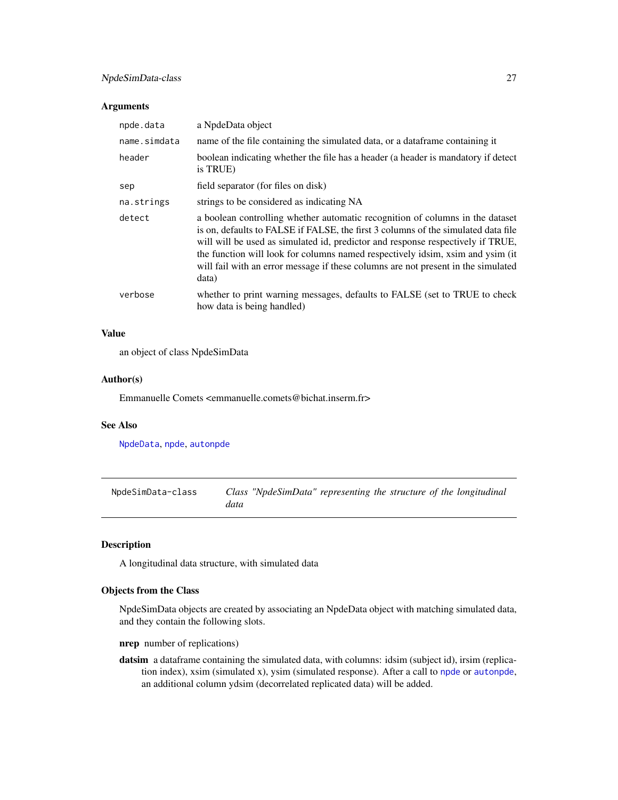## <span id="page-26-0"></span>NpdeSimData-class 27

#### Arguments

| npde.data    | a NpdeData object                                                                                                                                                                                                                                                                                                                                                                                                                      |
|--------------|----------------------------------------------------------------------------------------------------------------------------------------------------------------------------------------------------------------------------------------------------------------------------------------------------------------------------------------------------------------------------------------------------------------------------------------|
| name.simdata | name of the file containing the simulated data, or a data frame containing it                                                                                                                                                                                                                                                                                                                                                          |
| header       | boolean indicating whether the file has a header (a header is mandatory if detect<br>is TRUE)                                                                                                                                                                                                                                                                                                                                          |
| sep          | field separator (for files on disk)                                                                                                                                                                                                                                                                                                                                                                                                    |
| na.strings   | strings to be considered as indicating NA                                                                                                                                                                                                                                                                                                                                                                                              |
| detect       | a boolean controlling whether automatic recognition of columns in the dataset<br>is on, defaults to FALSE if FALSE, the first 3 columns of the simulated data file<br>will will be used as simulated id, predictor and response respectively if TRUE,<br>the function will look for columns named respectively idsim, xsim and ysim (it)<br>will fail with an error message if these columns are not present in the simulated<br>data) |
| verbose      | whether to print warning messages, defaults to FALSE (set to TRUE to check<br>how data is being handled)                                                                                                                                                                                                                                                                                                                               |

## Value

an object of class NpdeSimData

## Author(s)

Emmanuelle Comets <emmanuelle.comets@bichat.inserm.fr>

## See Also

[NpdeData](#page-23-1), [npde](#page-2-1), [autonpde](#page-2-2)

NpdeSimData-class *Class "NpdeSimData" representing the structure of the longitudinal data*

## <span id="page-26-1"></span>Description

A longitudinal data structure, with simulated data

## Objects from the Class

NpdeSimData objects are created by associating an NpdeData object with matching simulated data, and they contain the following slots.

nrep number of replications)

datsim a dataframe containing the simulated data, with columns: idsim (subject id), irsim (replication index), xsim (simulated x), ysim (simulated response). After a call to [npde](#page-2-1) or [autonpde](#page-2-2), an additional column ydsim (decorrelated replicated data) will be added.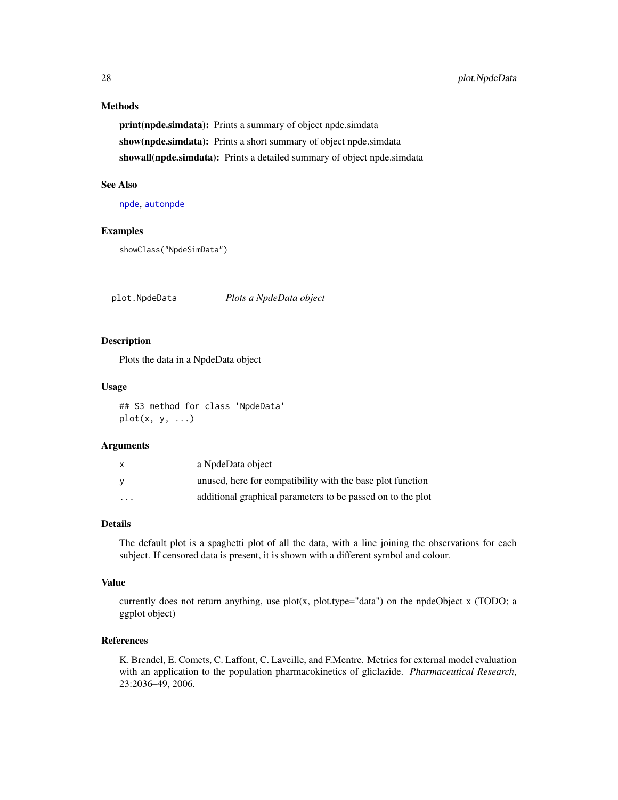## <span id="page-27-0"></span>Methods

print(npde.simdata): Prints a summary of object npde.simdata show(npde.simdata): Prints a short summary of object npde.simdata showall(npde.simdata): Prints a detailed summary of object npde.simdata

## See Also

[npde](#page-2-1), [autonpde](#page-2-2)

## Examples

```
showClass("NpdeSimData")
```
plot.NpdeData *Plots a NpdeData object*

#### Description

Plots the data in a NpdeData object

#### Usage

## S3 method for class 'NpdeData'  $plot(x, y, \ldots)$ 

#### Arguments

| $\mathsf{x}$            | a NpdeData object                                           |
|-------------------------|-------------------------------------------------------------|
| <b>V</b>                | unused, here for compatibility with the base plot function  |
| $\cdot$ $\cdot$ $\cdot$ | additional graphical parameters to be passed on to the plot |

## Details

The default plot is a spaghetti plot of all the data, with a line joining the observations for each subject. If censored data is present, it is shown with a different symbol and colour.

## Value

currently does not return anything, use  $plot(x, plot-type="data")$  on the npdeObject x (TODO; a ggplot object)

## References

K. Brendel, E. Comets, C. Laffont, C. Laveille, and F.Mentre. Metrics for external model evaluation with an application to the population pharmacokinetics of gliclazide. *Pharmaceutical Research*, 23:2036–49, 2006.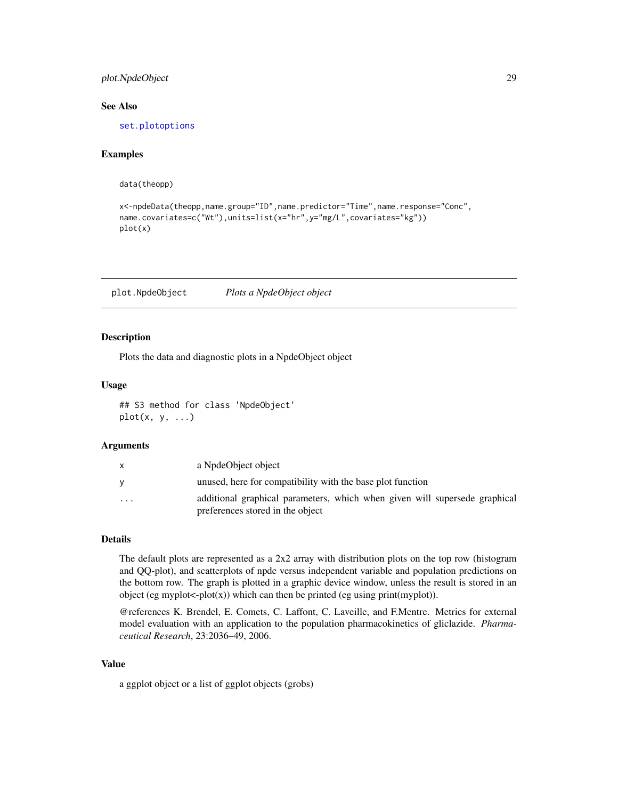## <span id="page-28-0"></span>plot.NpdeObject 29

#### See Also

[set.plotoptions](#page-30-1)

## Examples

data(theopp)

```
x<-npdeData(theopp,name.group="ID",name.predictor="Time",name.response="Conc",
name.covariates=c("Wt"),units=list(x="hr",y="mg/L",covariates="kg"))
plot(x)
```
<span id="page-28-1"></span>plot.NpdeObject *Plots a NpdeObject object*

#### Description

Plots the data and diagnostic plots in a NpdeObject object

#### Usage

## S3 method for class 'NpdeObject'  $plot(x, y, ...)$ 

#### Arguments

|                         | a NpdeObject object                                                                                            |
|-------------------------|----------------------------------------------------------------------------------------------------------------|
|                         | unused, here for compatibility with the base plot function                                                     |
| $\cdot$ $\cdot$ $\cdot$ | additional graphical parameters, which when given will supersede graphical<br>preferences stored in the object |

## Details

The default plots are represented as a 2x2 array with distribution plots on the top row (histogram and QQ-plot), and scatterplots of npde versus independent variable and population predictions on the bottom row. The graph is plotted in a graphic device window, unless the result is stored in an object (eg myplot <- plot(x)) which can then be printed (eg using print(myplot)).

@references K. Brendel, E. Comets, C. Laffont, C. Laveille, and F.Mentre. Metrics for external model evaluation with an application to the population pharmacokinetics of gliclazide. *Pharmaceutical Research*, 23:2036–49, 2006.

#### Value

a ggplot object or a list of ggplot objects (grobs)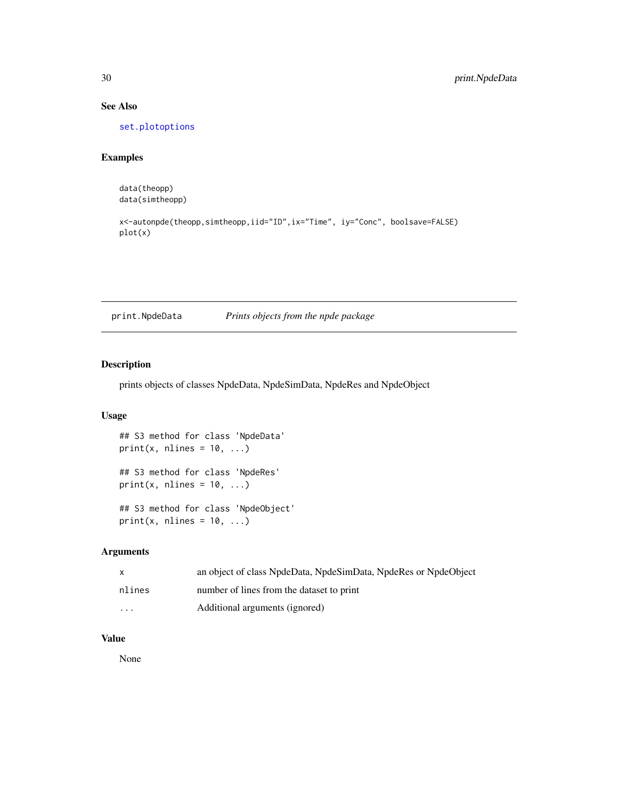## See Also

[set.plotoptions](#page-30-1)

## Examples

data(theopp) data(simtheopp)

```
x<-autonpde(theopp,simtheopp,iid="ID",ix="Time", iy="Conc", boolsave=FALSE)
plot(x)
```
print.NpdeData *Prints objects from the npde package*

## Description

prints objects of classes NpdeData, NpdeSimData, NpdeRes and NpdeObject

## Usage

```
## S3 method for class 'NpdeData'
print(x, \text{ nlines} = 10, \ldots)## S3 method for class 'NpdeRes'
print(x, nlines = 10, ...)
## S3 method for class 'NpdeObject'
print(x, nlines = 10, ...)
```
## Arguments

| $\mathsf{x}$            | an object of class NpdeData, NpdeSimData, NpdeRes or NpdeObject |
|-------------------------|-----------------------------------------------------------------|
| nlines                  | number of lines from the dataset to print                       |
| $\cdot$ $\cdot$ $\cdot$ | Additional arguments (ignored)                                  |

## Value

None

<span id="page-29-0"></span>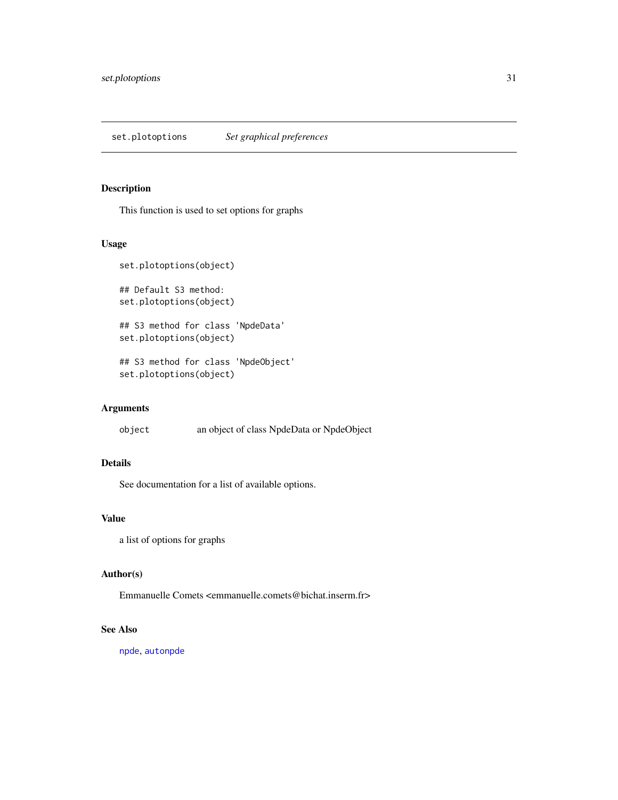<span id="page-30-1"></span><span id="page-30-0"></span>set.plotoptions *Set graphical preferences*

## Description

This function is used to set options for graphs

## Usage

```
set.plotoptions(object)
## Default S3 method:
set.plotoptions(object)
## S3 method for class 'NpdeData'
set.plotoptions(object)
## S3 method for class 'NpdeObject'
set.plotoptions(object)
```
## Arguments

object an object of class NpdeData or NpdeObject

## Details

See documentation for a list of available options.

## Value

a list of options for graphs

## Author(s)

Emmanuelle Comets <emmanuelle.comets@bichat.inserm.fr>

## See Also

[npde](#page-2-1), [autonpde](#page-2-2)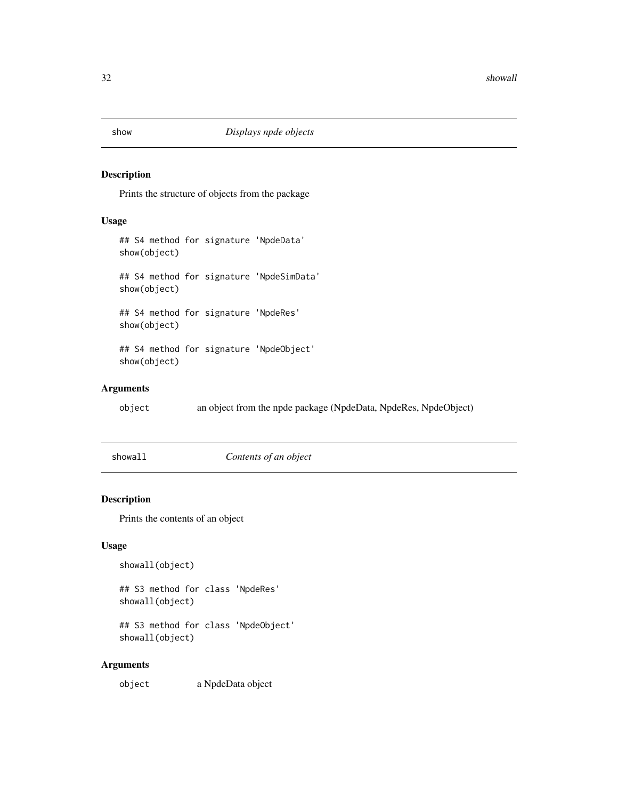## <span id="page-31-0"></span>Description

Prints the structure of objects from the package

## Usage

```
## S4 method for signature 'NpdeData'
show(object)
## S4 method for signature 'NpdeSimData'
show(object)
## S4 method for signature 'NpdeRes'
show(object)
## S4 method for signature 'NpdeObject'
show(object)
```
## Arguments

object an object from the npde package (NpdeData, NpdeRes, NpdeObject)

showall *Contents of an object*

## Description

Prints the contents of an object

## Usage

```
showall(object)
```
## S3 method for class 'NpdeRes' showall(object)

## S3 method for class 'NpdeObject' showall(object)

#### Arguments

object a NpdeData object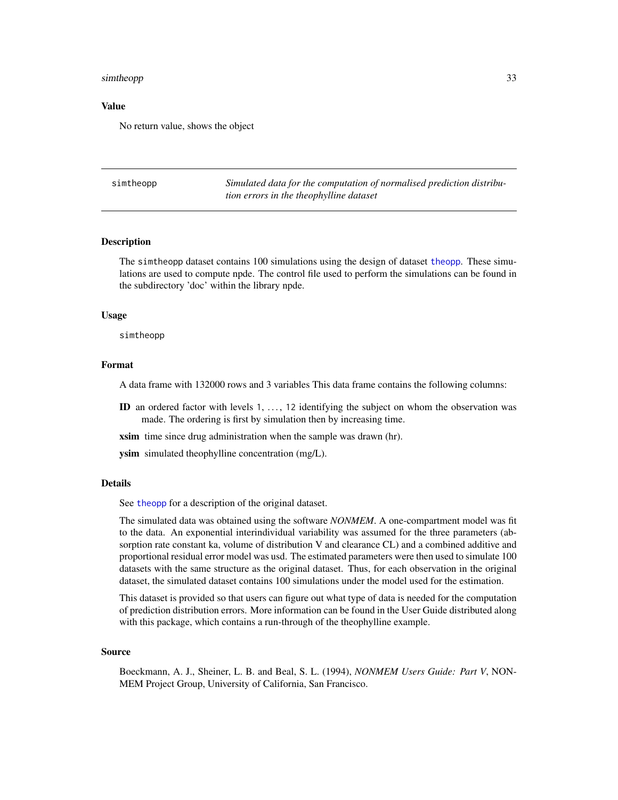#### <span id="page-32-0"></span>simtheopp 33

#### Value

No return value, shows the object

simtheopp *Simulated data for the computation of normalised prediction distribution errors in the theophylline dataset*

#### Description

The simtheopp dataset contains 100 simulations using the design of dataset [theopp](#page-35-1). These simulations are used to compute npde. The control file used to perform the simulations can be found in the subdirectory 'doc' within the library npde.

#### Usage

simtheopp

#### Format

A data frame with 132000 rows and 3 variables This data frame contains the following columns:

ID an ordered factor with levels  $1, \ldots, 12$  identifying the subject on whom the observation was made. The ordering is first by simulation then by increasing time.

xsim time since drug administration when the sample was drawn (hr).

ysim simulated theophylline concentration (mg/L).

#### Details

See [theopp](#page-35-1) for a description of the original dataset.

The simulated data was obtained using the software *NONMEM*. A one-compartment model was fit to the data. An exponential interindividual variability was assumed for the three parameters (absorption rate constant ka, volume of distribution V and clearance CL) and a combined additive and proportional residual error model was usd. The estimated parameters were then used to simulate 100 datasets with the same structure as the original dataset. Thus, for each observation in the original dataset, the simulated dataset contains 100 simulations under the model used for the estimation.

This dataset is provided so that users can figure out what type of data is needed for the computation of prediction distribution errors. More information can be found in the User Guide distributed along with this package, which contains a run-through of the theophylline example.

#### Source

Boeckmann, A. J., Sheiner, L. B. and Beal, S. L. (1994), *NONMEM Users Guide: Part V*, NON-MEM Project Group, University of California, San Francisco.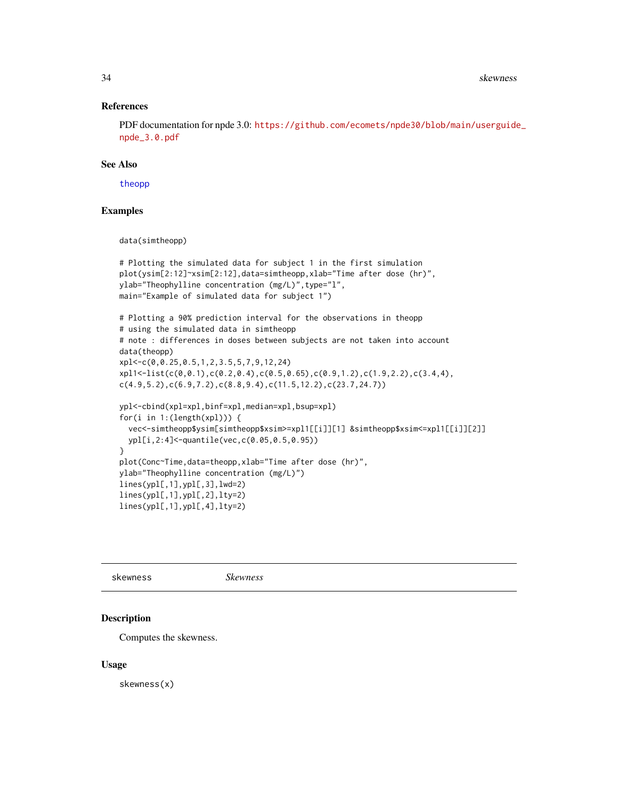#### <span id="page-33-0"></span>References

PDF documentation for npde 3.0: [https://github.com/ecomets/npde30/blob/main/userguide](https://github.com/ecomets/npde30/blob/main/userguide_npde_3.0.pdf)\_ [npde\\_3.0.pdf](https://github.com/ecomets/npde30/blob/main/userguide_npde_3.0.pdf)

#### See Also

[theopp](#page-35-1)

## Examples

data(simtheopp)

```
# Plotting the simulated data for subject 1 in the first simulation
plot(ysim[2:12]~xsim[2:12],data=simtheopp,xlab="Time after dose (hr)",
ylab="Theophylline concentration (mg/L)",type="l",
main="Example of simulated data for subject 1")
# Plotting a 90% prediction interval for the observations in theopp
# using the simulated data in simtheopp
# note : differences in doses between subjects are not taken into account
data(theopp)
xpl<-c(0,0.25,0.5,1,2,3.5,5,7,9,12,24)
xpl1<-list(c(0,0.1),c(0.2,0.4),c(0.5,0.65),c(0.9,1.2),c(1.9,2.2),c(3.4,4),
c(4.9,5.2),c(6.9,7.2),c(8.8,9.4),c(11.5,12.2),c(23.7,24.7))
ypl<-cbind(xpl=xpl,binf=xpl,median=xpl,bsup=xpl)
for(i in 1:(length(xpl))) {
  vec<-simtheopp$ysim[simtheopp$xsim>=xpl1[[i]][1] &simtheopp$xsim<=xpl1[[i]][2]]
  ypl[i,2:4]<-quantile(vec,c(0.05,0.5,0.95))
}
plot(Conc~Time,data=theopp,xlab="Time after dose (hr)",
ylab="Theophylline concentration (mg/L)")
lines(ypl[,1],ypl[,3],lwd=2)
lines(ypl[,1],ypl[,2],lty=2)
lines(ypl[,1],ypl[,4],lty=2)
```
<span id="page-33-1"></span>skewness *Skewness*

## Description

Computes the skewness.

#### Usage

skewness(x)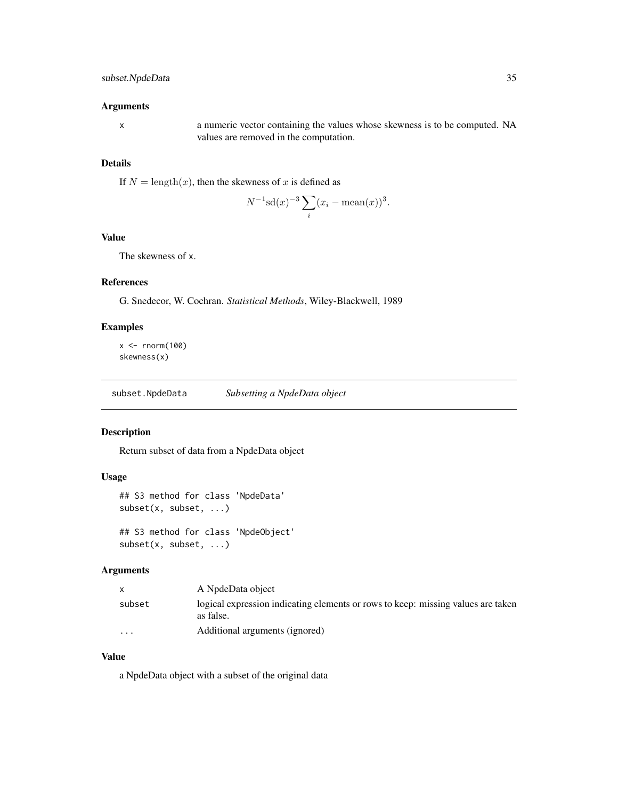## <span id="page-34-0"></span>Arguments

x a numeric vector containing the values whose skewness is to be computed. NA values are removed in the computation.

## Details

If  $N = \text{length}(x)$ , then the skewness of x is defined as

$$
N^{-1}\mathrm{sd}(x)^{-3}\sum_{i}(x_i - \mathrm{mean}(x))^3.
$$

## Value

The skewness of x.

## References

G. Snedecor, W. Cochran. *Statistical Methods*, Wiley-Blackwell, 1989

## Examples

 $x < -$  rnorm(100) skewness(x)

subset.NpdeData *Subsetting a NpdeData object*

## Description

Return subset of data from a NpdeData object

## Usage

```
## S3 method for class 'NpdeData'
subset(x, subset, ...)
```
## S3 method for class 'NpdeObject' subset(x, subset, ...)

#### Arguments

|          | A NpdeData object                                                                             |
|----------|-----------------------------------------------------------------------------------------------|
| subset   | logical expression indicating elements or rows to keep: missing values are taken<br>as false. |
| $\cdots$ | Additional arguments (ignored)                                                                |

## Value

a NpdeData object with a subset of the original data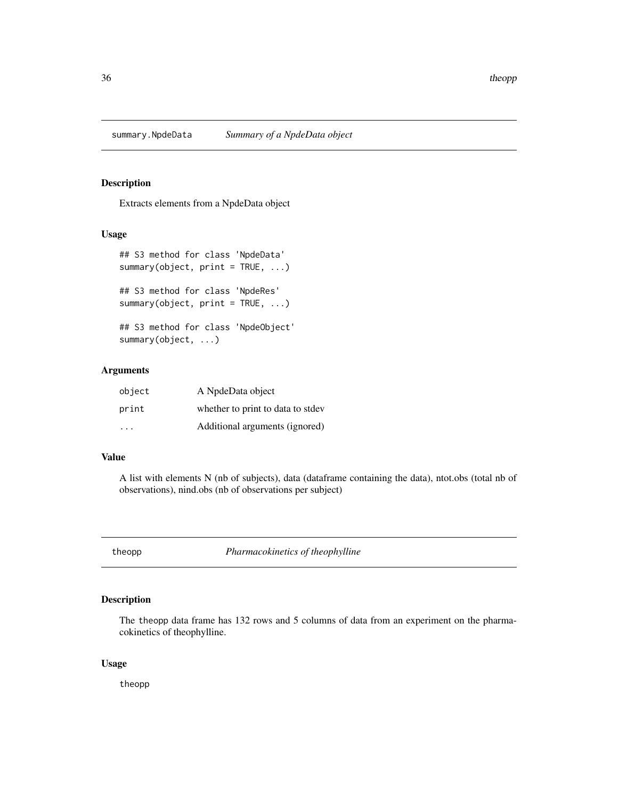<span id="page-35-0"></span>

## Description

Extracts elements from a NpdeData object

#### Usage

```
## S3 method for class 'NpdeData'
summary(object, print = TRUE, ...)
## S3 method for class 'NpdeRes'
```
## S3 method for class 'NpdeObject' summary(object, ...)

summary(object,  $print = TRUE, ...)$ 

## Arguments

| object | A NpdeData object                 |
|--------|-----------------------------------|
| print  | whether to print to data to stdev |
| .      | Additional arguments (ignored)    |

## Value

A list with elements N (nb of subjects), data (dataframe containing the data), ntot.obs (total nb of observations), nind.obs (nb of observations per subject)

<span id="page-35-1"></span>theopp *Pharmacokinetics of theophylline*

## Description

The theopp data frame has 132 rows and 5 columns of data from an experiment on the pharmacokinetics of theophylline.

#### Usage

theopp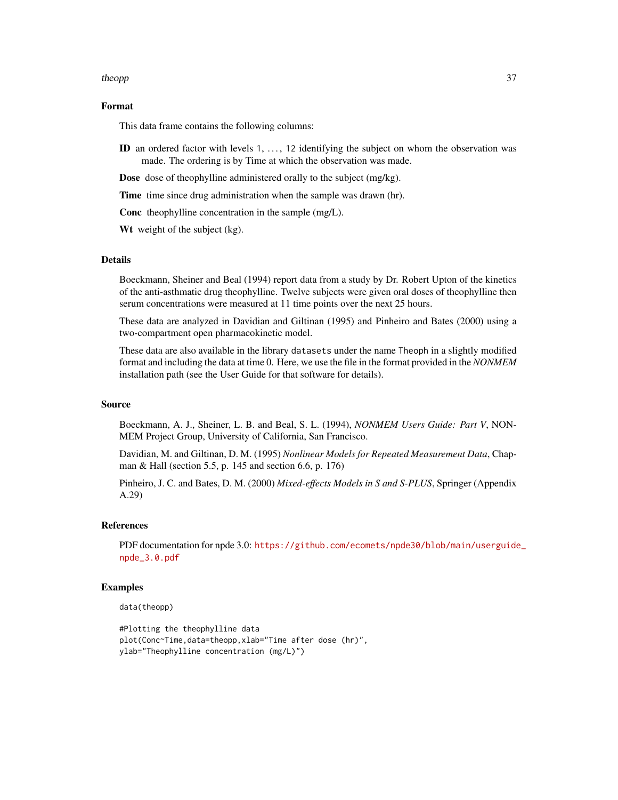#### theopp 37

## Format

This data frame contains the following columns:

ID an ordered factor with levels  $1, \ldots, 12$  identifying the subject on whom the observation was made. The ordering is by Time at which the observation was made.

Dose dose of theophylline administered orally to the subject (mg/kg).

Time time since drug administration when the sample was drawn (hr).

Conc theophylline concentration in the sample (mg/L).

Wt weight of the subject (kg).

#### Details

Boeckmann, Sheiner and Beal (1994) report data from a study by Dr. Robert Upton of the kinetics of the anti-asthmatic drug theophylline. Twelve subjects were given oral doses of theophylline then serum concentrations were measured at 11 time points over the next 25 hours.

These data are analyzed in Davidian and Giltinan (1995) and Pinheiro and Bates (2000) using a two-compartment open pharmacokinetic model.

These data are also available in the library datasets under the name Theoph in a slightly modified format and including the data at time 0. Here, we use the file in the format provided in the *NONMEM* installation path (see the User Guide for that software for details).

## Source

Boeckmann, A. J., Sheiner, L. B. and Beal, S. L. (1994), *NONMEM Users Guide: Part V*, NON-MEM Project Group, University of California, San Francisco.

Davidian, M. and Giltinan, D. M. (1995) *Nonlinear Models for Repeated Measurement Data*, Chapman & Hall (section 5.5, p. 145 and section 6.6, p. 176)

Pinheiro, J. C. and Bates, D. M. (2000) *Mixed-effects Models in S and S-PLUS*, Springer (Appendix A.29)

#### References

PDF documentation for npde 3.0: [https://github.com/ecomets/npde30/blob/main/userguide](https://github.com/ecomets/npde30/blob/main/userguide_npde_3.0.pdf)\_ [npde\\_3.0.pdf](https://github.com/ecomets/npde30/blob/main/userguide_npde_3.0.pdf)

#### Examples

data(theopp)

```
#Plotting the theophylline data
plot(Conc~Time,data=theopp,xlab="Time after dose (hr)",
ylab="Theophylline concentration (mg/L)")
```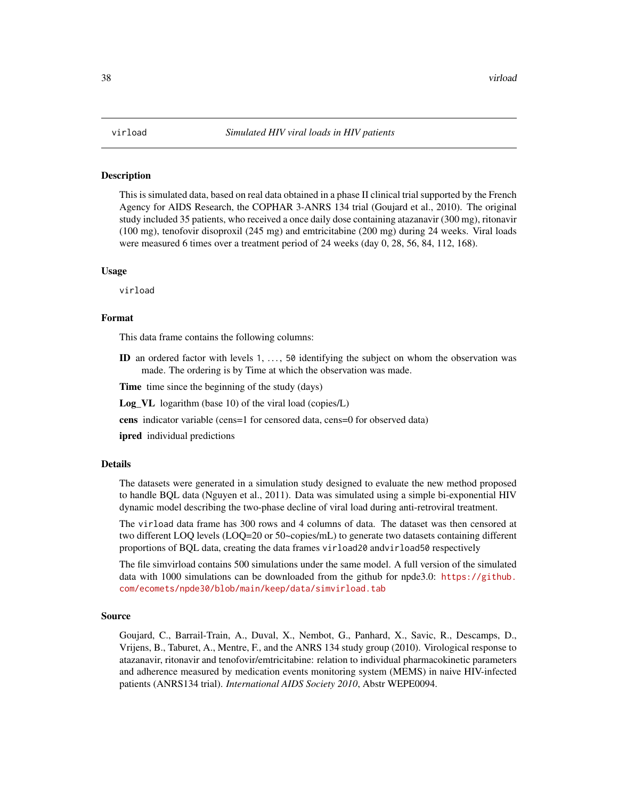<span id="page-37-0"></span>

#### **Description**

This is simulated data, based on real data obtained in a phase II clinical trial supported by the French Agency for AIDS Research, the COPHAR 3-ANRS 134 trial (Goujard et al., 2010). The original study included 35 patients, who received a once daily dose containing atazanavir (300 mg), ritonavir (100 mg), tenofovir disoproxil (245 mg) and emtricitabine (200 mg) during 24 weeks. Viral loads were measured 6 times over a treatment period of 24 weeks (day 0, 28, 56, 84, 112, 168).

#### Usage

virload

#### Format

This data frame contains the following columns:

ID an ordered factor with levels  $1, \ldots, 50$  identifying the subject on whom the observation was made. The ordering is by Time at which the observation was made.

Time time since the beginning of the study (days)

Log\_VL logarithm (base 10) of the viral load (copies/L)

cens indicator variable (cens=1 for censored data, cens=0 for observed data)

**ipred** individual predictions

## Details

The datasets were generated in a simulation study designed to evaluate the new method proposed to handle BQL data (Nguyen et al., 2011). Data was simulated using a simple bi-exponential HIV dynamic model describing the two-phase decline of viral load during anti-retroviral treatment.

The virload data frame has 300 rows and 4 columns of data. The dataset was then censored at two different LOQ levels (LOQ=20 or 50~copies/mL) to generate two datasets containing different proportions of BQL data, creating the data frames virload20 andvirload50 respectively

The file simvirload contains 500 simulations under the same model. A full version of the simulated data with 1000 simulations can be downloaded from the github for npde3.0: [https://github.](https://github.com/ecomets/npde30/blob/main/keep/data/simvirload.tab) [com/ecomets/npde30/blob/main/keep/data/simvirload.tab](https://github.com/ecomets/npde30/blob/main/keep/data/simvirload.tab)

#### Source

Goujard, C., Barrail-Train, A., Duval, X., Nembot, G., Panhard, X., Savic, R., Descamps, D., Vrijens, B., Taburet, A., Mentre, F., and the ANRS 134 study group (2010). Virological response to atazanavir, ritonavir and tenofovir/emtricitabine: relation to individual pharmacokinetic parameters and adherence measured by medication events monitoring system (MEMS) in naive HIV-infected patients (ANRS134 trial). *International AIDS Society 2010*, Abstr WEPE0094.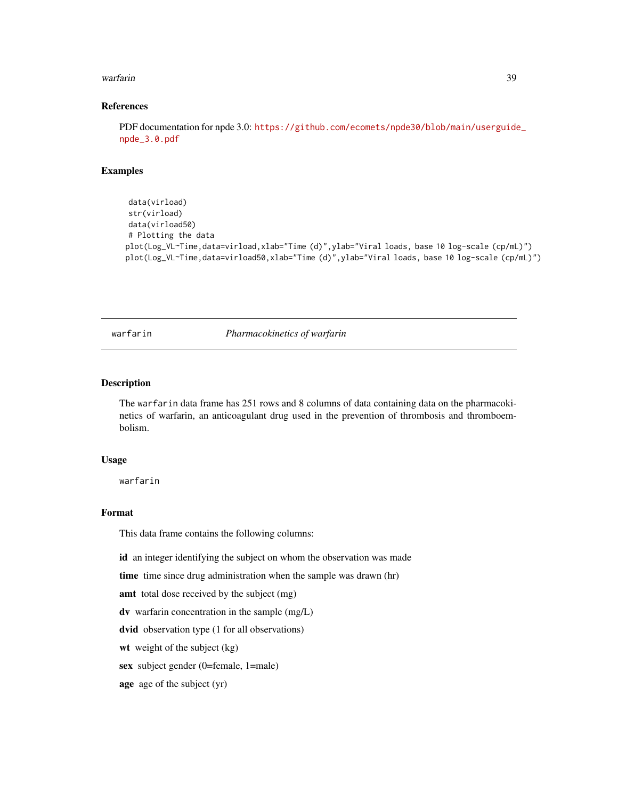#### <span id="page-38-0"></span>warfarin 39

## References

PDF documentation for npde 3.0: [https://github.com/ecomets/npde30/blob/main/userguide](https://github.com/ecomets/npde30/blob/main/userguide_npde_3.0.pdf)\_ [npde\\_3.0.pdf](https://github.com/ecomets/npde30/blob/main/userguide_npde_3.0.pdf)

#### Examples

```
data(virload)
str(virload)
data(virload50)
# Plotting the data
plot(Log_VL~Time,data=virload,xlab="Time (d)",ylab="Viral loads, base 10 log-scale (cp/mL)")
plot(Log_VL~Time,data=virload50,xlab="Time (d)",ylab="Viral loads, base 10 log-scale (cp/mL)")
```
warfarin *Pharmacokinetics of warfarin*

#### Description

The warfarin data frame has 251 rows and 8 columns of data containing data on the pharmacokinetics of warfarin, an anticoagulant drug used in the prevention of thrombosis and thromboembolism.

#### Usage

warfarin

## Format

This data frame contains the following columns:

id an integer identifying the subject on whom the observation was made

time time since drug administration when the sample was drawn (hr)

amt total dose received by the subject (mg)

dv warfarin concentration in the sample (mg/L)

dvid observation type (1 for all observations)

wt weight of the subject (kg)

sex subject gender (0=female, 1=male)

age age of the subject (yr)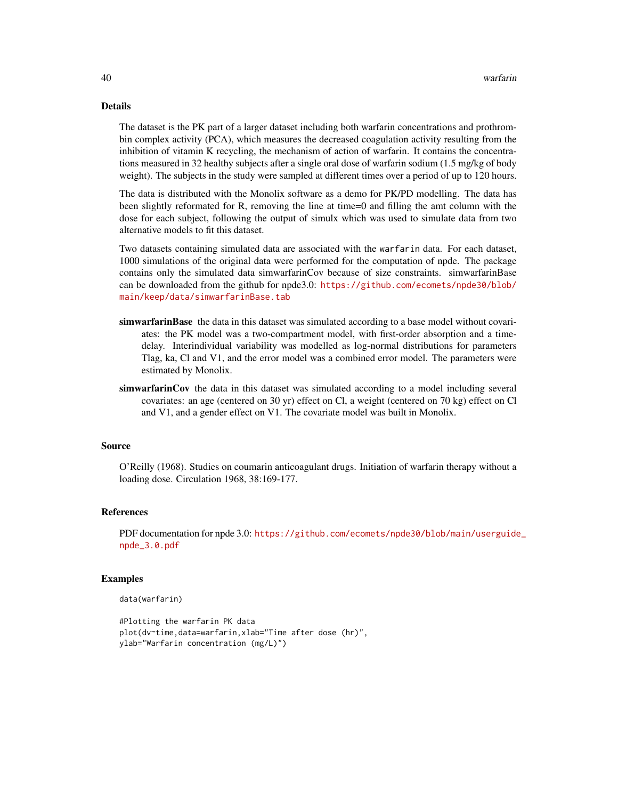#### Details

The dataset is the PK part of a larger dataset including both warfarin concentrations and prothrombin complex activity (PCA), which measures the decreased coagulation activity resulting from the inhibition of vitamin K recycling, the mechanism of action of warfarin. It contains the concentrations measured in 32 healthy subjects after a single oral dose of warfarin sodium (1.5 mg/kg of body weight). The subjects in the study were sampled at different times over a period of up to 120 hours.

The data is distributed with the Monolix software as a demo for PK/PD modelling. The data has been slightly reformated for R, removing the line at time=0 and filling the amt column with the dose for each subject, following the output of simulx which was used to simulate data from two alternative models to fit this dataset.

Two datasets containing simulated data are associated with the warfarin data. For each dataset, 1000 simulations of the original data were performed for the computation of npde. The package contains only the simulated data simwarfarinCov because of size constraints. simwarfarinBase can be downloaded from the github for npde3.0: [https://github.com/ecomets/npde30/blob/](https://github.com/ecomets/npde30/blob/main/keep/data/simwarfarinBase.tab) [main/keep/data/simwarfarinBase.tab](https://github.com/ecomets/npde30/blob/main/keep/data/simwarfarinBase.tab)

- simwarfarinBase the data in this dataset was simulated according to a base model without covariates: the PK model was a two-compartment model, with first-order absorption and a timedelay. Interindividual variability was modelled as log-normal distributions for parameters Tlag, ka, Cl and V1, and the error model was a combined error model. The parameters were estimated by Monolix.
- simwarfarinCov the data in this dataset was simulated according to a model including several covariates: an age (centered on 30 yr) effect on Cl, a weight (centered on 70 kg) effect on Cl and V1, and a gender effect on V1. The covariate model was built in Monolix.

#### Source

O'Reilly (1968). Studies on coumarin anticoagulant drugs. Initiation of warfarin therapy without a loading dose. Circulation 1968, 38:169-177.

#### References

PDF documentation for npde 3.0: [https://github.com/ecomets/npde30/blob/main/userguide](https://github.com/ecomets/npde30/blob/main/userguide_npde_3.0.pdf)\_ [npde\\_3.0.pdf](https://github.com/ecomets/npde30/blob/main/userguide_npde_3.0.pdf)

#### Examples

```
data(warfarin)
```

```
#Plotting the warfarin PK data
plot(dv~time,data=warfarin,xlab="Time after dose (hr)",
ylab="Warfarin concentration (mg/L)")
```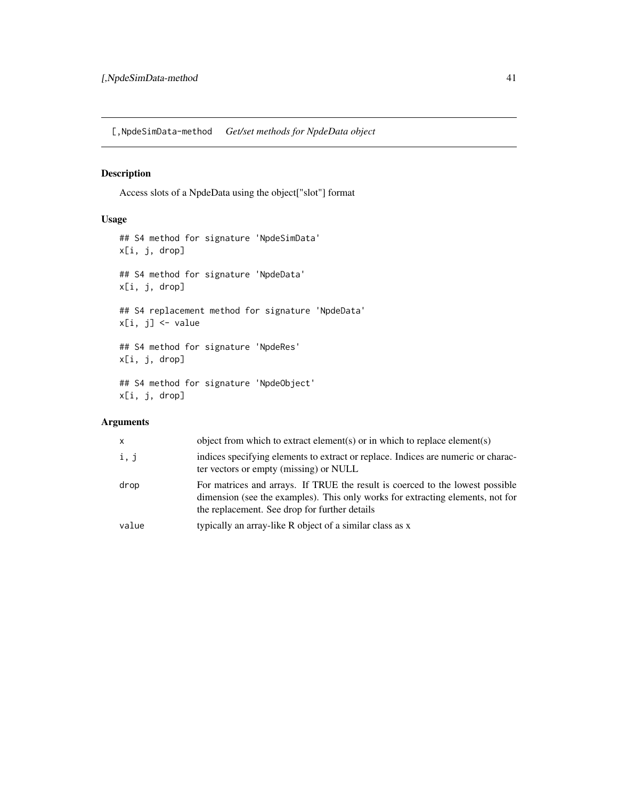<span id="page-40-0"></span>[,NpdeSimData-method *Get/set methods for NpdeData object*

## Description

Access slots of a NpdeData using the object["slot"] format

## Usage

```
## S4 method for signature 'NpdeSimData'
x[i, j, drop]
## S4 method for signature 'NpdeData'
x[i, j, drop]
## S4 replacement method for signature 'NpdeData'
x[i, j] <- value
## S4 method for signature 'NpdeRes'
x[i, j, drop]
## S4 method for signature 'NpdeObject'
x[i, j, drop]
```
## Arguments

| X     | object from which to extract element(s) or in which to replace element(s)                                                                                                                                        |
|-------|------------------------------------------------------------------------------------------------------------------------------------------------------------------------------------------------------------------|
| i, j  | indices specifying elements to extract or replace. Indices are numeric or charac-<br>ter vectors or empty (missing) or NULL                                                                                      |
| drop  | For matrices and arrays. If TRUE the result is coerced to the lowest possible<br>dimension (see the examples). This only works for extracting elements, not for<br>the replacement. See drop for further details |
| value | typically an array-like R object of a similar class as x                                                                                                                                                         |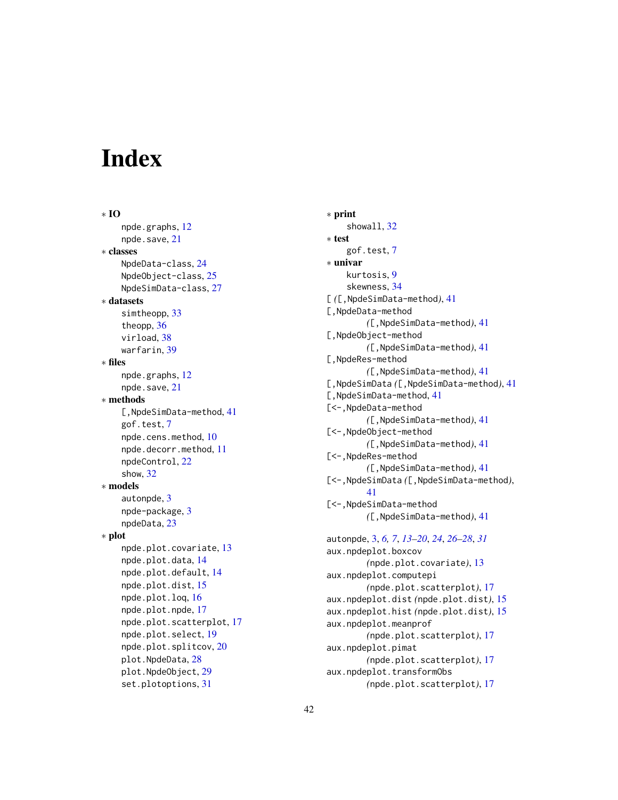# <span id="page-41-0"></span>**Index**

∗ IO npde.graphs, [12](#page-11-0) npde.save, [21](#page-20-0) ∗ classes NpdeData-class, [24](#page-23-0) NpdeObject-class, [25](#page-24-0) NpdeSimData-class, [27](#page-26-0) ∗ datasets simtheopp, [33](#page-32-0) theopp, [36](#page-35-0) virload, [38](#page-37-0) warfarin, [39](#page-38-0) ∗ files npde.graphs, [12](#page-11-0) npde.save, [21](#page-20-0) ∗ methods [,NpdeSimData-method, [41](#page-40-0) gof.test, [7](#page-6-0) npde.cens.method, [10](#page-9-0) npde.decorr.method, [11](#page-10-0) npdeControl, [22](#page-21-0) show, [32](#page-31-0) ∗ models autonpde, [3](#page-2-0) npde-package, [3](#page-2-0) npdeData, [23](#page-22-0) ∗ plot npde.plot.covariate, [13](#page-12-0) npde.plot.data, [14](#page-13-0) npde.plot.default, [14](#page-13-0) npde.plot.dist, [15](#page-14-0) npde.plot.loq, [16](#page-15-0) npde.plot.npde, [17](#page-16-0) npde.plot.scatterplot, [17](#page-16-0) npde.plot.select, [19](#page-18-0) npde.plot.splitcov, [20](#page-19-0) plot.NpdeData, [28](#page-27-0) plot.NpdeObject, [29](#page-28-0) set.plotoptions, [31](#page-30-0)

∗ print showall, [32](#page-31-0) ∗ test gof.test, [7](#page-6-0) ∗ univar kurtosis, [9](#page-8-0) skewness, [34](#page-33-0) [ *(*[,NpdeSimData-method*)*, [41](#page-40-0) [,NpdeData-method *(*[,NpdeSimData-method*)*, [41](#page-40-0) [,NpdeObject-method *(*[,NpdeSimData-method*)*, [41](#page-40-0) [,NpdeRes-method *(*[,NpdeSimData-method*)*, [41](#page-40-0) [,NpdeSimData *(*[,NpdeSimData-method*)*, [41](#page-40-0) [, NpdeSimData-method, [41](#page-40-0) [<-,NpdeData-method *(*[,NpdeSimData-method*)*, [41](#page-40-0) [<-,NpdeObject-method *(*[,NpdeSimData-method*)*, [41](#page-40-0) [<-,NpdeRes-method *(*[,NpdeSimData-method*)*, [41](#page-40-0) [<-,NpdeSimData *(*[,NpdeSimData-method*)*, [41](#page-40-0) [<-,NpdeSimData-method *(*[,NpdeSimData-method*)*, [41](#page-40-0) autonpde, [3,](#page-2-0) *[6,](#page-5-0) [7](#page-6-0)*, *[13](#page-12-0)[–20](#page-19-0)*, *[24](#page-23-0)*, *[26](#page-25-0)[–28](#page-27-0)*, *[31](#page-30-0)* aux.npdeplot.boxcov *(*npde.plot.covariate*)*, [13](#page-12-0) aux.npdeplot.computepi *(*npde.plot.scatterplot*)*, [17](#page-16-0) aux.npdeplot.dist *(*npde.plot.dist*)*, [15](#page-14-0) aux.npdeplot.hist *(*npde.plot.dist*)*, [15](#page-14-0) aux.npdeplot.meanprof *(*npde.plot.scatterplot*)*, [17](#page-16-0) aux.npdeplot.pimat *(*npde.plot.scatterplot*)*, [17](#page-16-0) aux.npdeplot.transformObs *(*npde.plot.scatterplot*)*, [17](#page-16-0)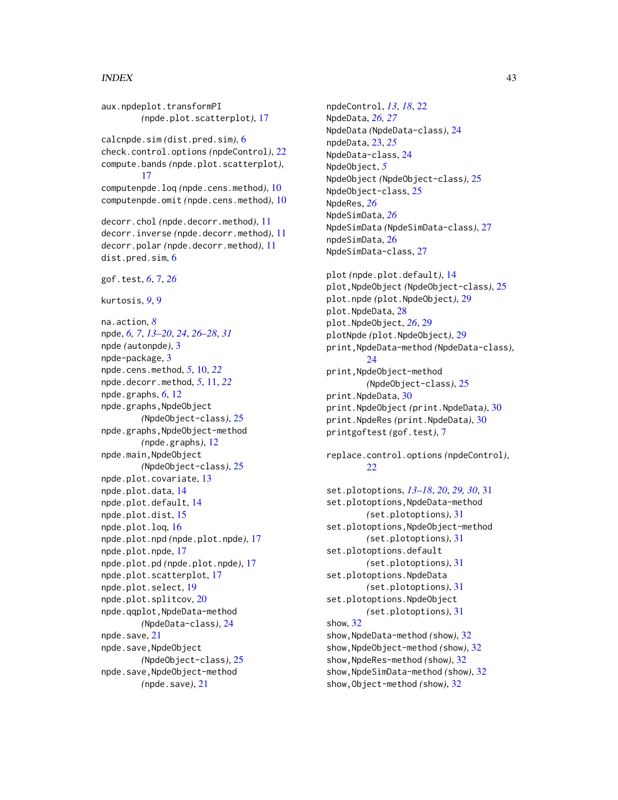#### $I<sub>N</sub>$  and  $I<sub>3</sub>$  and  $I<sub>43</sub>$

aux.npdeplot.transformPI *(*npde.plot.scatterplot*)*, [17](#page-16-0) calcnpde.sim *(*dist.pred.sim*)*, [6](#page-5-0) check.control.options *(*npdeControl*)*, [22](#page-21-0) compute.bands *(*npde.plot.scatterplot*)*, [17](#page-16-0) computenpde.loq *(*npde.cens.method*)*, [10](#page-9-0) computenpde.omit *(*npde.cens.method*)*, [10](#page-9-0) decorr.chol *(*npde.decorr.method*)*, [11](#page-10-0) decorr.inverse *(*npde.decorr.method*)*, [11](#page-10-0) decorr.polar *(*npde.decorr.method*)*, [11](#page-10-0) dist.pred.sim. [6](#page-5-0) gof.test, *[6](#page-5-0)*, [7,](#page-6-0) *[26](#page-25-0)* kurtosis, *[9](#page-8-0)*, [9](#page-8-0) na.action, *[8](#page-7-0)* npde, *[6,](#page-5-0) [7](#page-6-0)*, *[13](#page-12-0)[–20](#page-19-0)*, *[24](#page-23-0)*, *[26–](#page-25-0)[28](#page-27-0)*, *[31](#page-30-0)* npde *(*autonpde*)*, [3](#page-2-0) npde-package, [3](#page-2-0) npde.cens.method, *[5](#page-4-0)*, [10,](#page-9-0) *[22](#page-21-0)* npde.decorr.method, *[5](#page-4-0)*, [11,](#page-10-0) *[22](#page-21-0)* npde.graphs, *[6](#page-5-0)*, [12](#page-11-0) npde.graphs,NpdeObject *(*NpdeObject-class*)*, [25](#page-24-0) npde.graphs,NpdeObject-method *(*npde.graphs*)*, [12](#page-11-0) npde.main,NpdeObject *(*NpdeObject-class*)*, [25](#page-24-0) npde.plot.covariate, [13](#page-12-0) npde.plot.data, [14](#page-13-0) npde.plot.default, [14](#page-13-0) npde.plot.dist, [15](#page-14-0) npde.plot.loq, [16](#page-15-0) npde.plot.npd *(*npde.plot.npde*)*, [17](#page-16-0) npde.plot.npde, [17](#page-16-0) npde.plot.pd *(*npde.plot.npde*)*, [17](#page-16-0) npde.plot.scatterplot, [17](#page-16-0) npde.plot.select, [19](#page-18-0) npde.plot.splitcov, [20](#page-19-0) npde.qqplot,NpdeData-method *(*NpdeData-class*)*, [24](#page-23-0) npde.save, [21](#page-20-0) npde.save,NpdeObject *(*NpdeObject-class*)*, [25](#page-24-0) npde.save,NpdeObject-method *(*npde.save*)*, [21](#page-20-0)

npdeControl, *[13](#page-12-0)*, *[18](#page-17-0)*, [22](#page-21-0) NpdeData, *[26,](#page-25-0) [27](#page-26-0)* NpdeData *(*NpdeData-class*)*, [24](#page-23-0) npdeData, [23,](#page-22-0) *[25](#page-24-0)* NpdeData-class, [24](#page-23-0) NpdeObject, *[5](#page-4-0)* NpdeObject *(*NpdeObject-class*)*, [25](#page-24-0) NpdeObject-class, [25](#page-24-0) NpdeRes, *[26](#page-25-0)* NpdeSimData, *[26](#page-25-0)* NpdeSimData *(*NpdeSimData-class*)*, [27](#page-26-0) npdeSimData, [26](#page-25-0) NpdeSimData-class, [27](#page-26-0)

plot *(*npde.plot.default*)*, [14](#page-13-0) plot,NpdeObject *(*NpdeObject-class*)*, [25](#page-24-0) plot.npde *(*plot.NpdeObject*)*, [29](#page-28-0) plot.NpdeData, [28](#page-27-0) plot.NpdeObject, *[26](#page-25-0)*, [29](#page-28-0) plotNpde *(*plot.NpdeObject*)*, [29](#page-28-0) print,NpdeData-method *(*NpdeData-class*)*, [24](#page-23-0) print,NpdeObject-method *(*NpdeObject-class*)*, [25](#page-24-0) print.NpdeData, [30](#page-29-0) print.NpdeObject *(*print.NpdeData*)*, [30](#page-29-0) print.NpdeRes *(*print.NpdeData*)*, [30](#page-29-0) printgoftest *(*gof.test*)*, [7](#page-6-0)

replace.control.options *(*npdeControl*)*, [22](#page-21-0)

set.plotoptions, *[13](#page-12-0)[–18](#page-17-0)*, *[20](#page-19-0)*, *[29,](#page-28-0) [30](#page-29-0)*, [31](#page-30-0) set.plotoptions,NpdeData-method *(*set.plotoptions*)*, [31](#page-30-0) set.plotoptions,NpdeObject-method *(*set.plotoptions*)*, [31](#page-30-0) set.plotoptions.default *(*set.plotoptions*)*, [31](#page-30-0) set.plotoptions.NpdeData *(*set.plotoptions*)*, [31](#page-30-0) set.plotoptions.NpdeObject *(*set.plotoptions*)*, [31](#page-30-0) show, [32](#page-31-0) show,NpdeData-method *(*show*)*, [32](#page-31-0) show,NpdeObject-method *(*show*)*, [32](#page-31-0) show,NpdeRes-method *(*show*)*, [32](#page-31-0) show,NpdeSimData-method *(*show*)*, [32](#page-31-0) show,Object-method *(*show*)*, [32](#page-31-0)